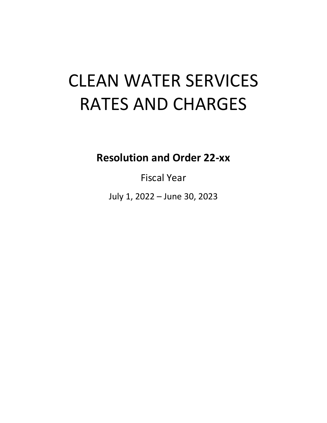# CLEAN WATER SERVICES RATES AND CHARGES

**Resolution and Order 22-xx**

Fiscal Year

July 1, 2022 – June 30, 2023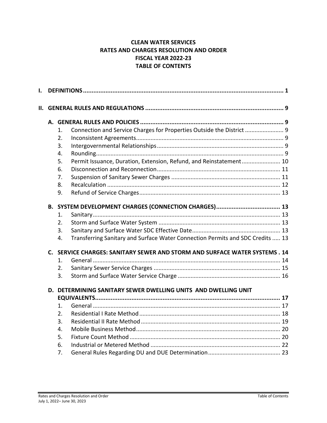# **CLEAN WATER SERVICES RATES AND CHARGES RESOLUTION AND ORDER FISCAL YEAR 2022-23 TABLE OF CONTENTS**

| I. |                |                  |                                                                                |  |  |  |
|----|----------------|------------------|--------------------------------------------------------------------------------|--|--|--|
|    |                |                  |                                                                                |  |  |  |
|    |                |                  |                                                                                |  |  |  |
|    |                | 1.               | Connection and Service Charges for Properties Outside the District  9          |  |  |  |
|    |                | 2.               |                                                                                |  |  |  |
|    |                | 3.               |                                                                                |  |  |  |
|    |                | 4.               |                                                                                |  |  |  |
|    |                | 5.               | Permit Issuance, Duration, Extension, Refund, and Reinstatement 10             |  |  |  |
|    |                | 6.               |                                                                                |  |  |  |
|    |                | 7.               |                                                                                |  |  |  |
|    |                | 8.               |                                                                                |  |  |  |
|    |                | 9.               |                                                                                |  |  |  |
|    |                |                  |                                                                                |  |  |  |
|    |                | 1.               |                                                                                |  |  |  |
|    |                | 2.               |                                                                                |  |  |  |
|    |                | 3.               |                                                                                |  |  |  |
|    |                | 4.               | Transferring Sanitary and Surface Water Connection Permits and SDC Credits  13 |  |  |  |
|    | $\mathsf{C}$ . |                  | SERVICE CHARGES: SANITARY SEWER AND STORM AND SURFACE WATER SYSTEMS . 14       |  |  |  |
|    |                | 1.               |                                                                                |  |  |  |
|    |                | $\overline{2}$ . |                                                                                |  |  |  |
|    |                | 3.               |                                                                                |  |  |  |
|    |                |                  | D. DETERMINING SANITARY SEWER DWELLING UNITS AND DWELLING UNIT                 |  |  |  |
|    |                |                  |                                                                                |  |  |  |
|    |                | 1.               |                                                                                |  |  |  |
|    |                | 2.               |                                                                                |  |  |  |
|    |                | 3.               |                                                                                |  |  |  |
|    |                | 4.               |                                                                                |  |  |  |
|    |                | 5.               |                                                                                |  |  |  |
|    |                | 6.               |                                                                                |  |  |  |
|    |                | 7.               |                                                                                |  |  |  |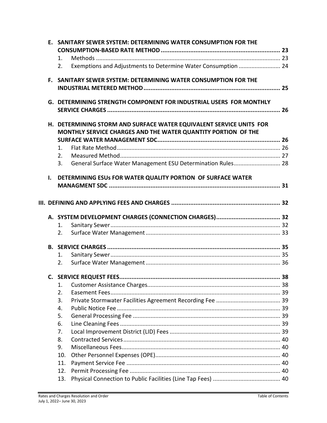|              | E. SANITARY SEWER SYSTEM: DETERMINING WATER CONSUMPTION FOR THE                                                                      |    |
|--------------|--------------------------------------------------------------------------------------------------------------------------------------|----|
|              |                                                                                                                                      |    |
|              | 1.                                                                                                                                   |    |
|              | Exemptions and Adjustments to Determine Water Consumption  24<br>2.                                                                  |    |
|              | F. SANITARY SEWER SYSTEM: DETERMINING WATER CONSUMPTION FOR THE                                                                      |    |
|              |                                                                                                                                      |    |
|              | G. DETERMINING STRENGTH COMPONENT FOR INDUSTRIAL USERS FOR MONTHLY                                                                   |    |
|              |                                                                                                                                      |    |
|              | H. DETERMINING STORM AND SURFACE WATER EQUIVALENT SERVICE UNITS FOR<br>MONTHLY SERVICE CHARGES AND THE WATER QUANTITY PORTION OF THE |    |
|              |                                                                                                                                      |    |
|              | 1.                                                                                                                                   |    |
|              | 2.                                                                                                                                   |    |
|              | General Surface Water Management ESU Determination Rules 28<br>3.                                                                    |    |
| $\mathbf{L}$ | DETERMINING ESUs FOR WATER QUALITY PORTION OF SURFACE WATER                                                                          |    |
|              |                                                                                                                                      |    |
|              |                                                                                                                                      |    |
|              |                                                                                                                                      |    |
|              |                                                                                                                                      |    |
|              |                                                                                                                                      |    |
|              | 1.                                                                                                                                   |    |
|              | 2.                                                                                                                                   |    |
|              |                                                                                                                                      |    |
|              | 1.                                                                                                                                   |    |
|              | 2.                                                                                                                                   |    |
|              |                                                                                                                                      | 38 |
|              | 1.                                                                                                                                   |    |
|              | 2.                                                                                                                                   |    |
|              | 3.                                                                                                                                   |    |
|              | 4.                                                                                                                                   |    |
|              | 5.                                                                                                                                   |    |
|              | 6.                                                                                                                                   |    |
|              | 7.                                                                                                                                   |    |
|              | 8.                                                                                                                                   |    |
|              | 9.                                                                                                                                   |    |
|              | 10.                                                                                                                                  |    |
|              | 11.                                                                                                                                  |    |
|              | 12.                                                                                                                                  |    |
|              | 13.                                                                                                                                  |    |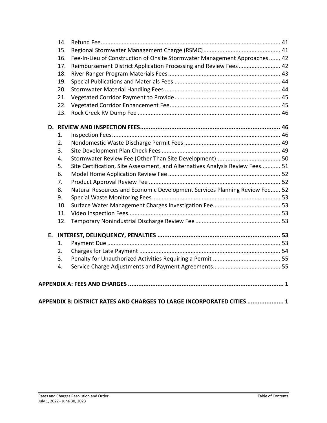|    | 14. |                                                                               |  |
|----|-----|-------------------------------------------------------------------------------|--|
|    | 15. |                                                                               |  |
|    | 16. | Fee-In-Lieu of Construction of Onsite Stormwater Management Approaches 42     |  |
|    | 17. | Reimbursement District Application Processing and Review Fees 42              |  |
|    | 18. |                                                                               |  |
|    | 19. |                                                                               |  |
|    | 20. |                                                                               |  |
|    | 21. |                                                                               |  |
|    | 22. |                                                                               |  |
|    | 23. |                                                                               |  |
|    |     |                                                                               |  |
|    | 1.  |                                                                               |  |
|    | 2.  |                                                                               |  |
|    | 3.  |                                                                               |  |
|    | 4.  |                                                                               |  |
|    | 5.  | Site Certification, Site Assessment, and Alternatives Analysis Review Fees 51 |  |
|    | 6.  |                                                                               |  |
|    | 7.  |                                                                               |  |
|    | 8.  | Natural Resources and Economic Development Services Planning Review Fee 52    |  |
|    | 9.  |                                                                               |  |
|    | 10. |                                                                               |  |
|    | 11. |                                                                               |  |
|    | 12. |                                                                               |  |
| E. |     |                                                                               |  |
|    | 1.  |                                                                               |  |
|    | 2.  |                                                                               |  |
|    | 3.  |                                                                               |  |
|    | 4.  |                                                                               |  |
|    |     |                                                                               |  |
|    |     |                                                                               |  |

| APPENDIX B: DISTRICT RATES AND CHARGES TO LARGE INCORPORATED CITIES  1 |  |
|------------------------------------------------------------------------|--|
|------------------------------------------------------------------------|--|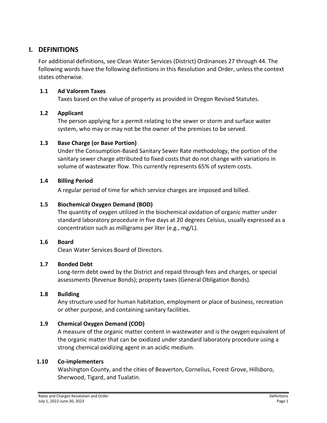# <span id="page-4-0"></span>**I. DEFINITIONS**

For additional definitions, see Clean Water Services (District) Ordinances 27 through 44. The following words have the following definitions in this Resolution and Order, unless the context states otherwise.

#### **1.1 Ad Valorem Taxes**

Taxes based on the value of property as provided in Oregon Revised Statutes.

# **1.2 Applicant**

The person applying for a permit relating to the sewer or storm and surface water system, who may or may not be the owner of the premises to be served.

# **1.3 Base Charge (or Base Portion)**

Under the Consumption-Based Sanitary Sewer Rate methodology, the portion of the sanitary sewer charge attributed to fixed costs that do not change with variations in volume of wastewater flow. This currently represents 65% of system costs.

# **1.4 Billing Period**

A regular period of time for which service charges are imposed and billed.

# **1.5 Biochemical Oxygen Demand (BOD)**

The quantity of oxygen utilized in the biochemical oxidation of organic matter under standard laboratory procedure in five days at 20 degrees Celsius, usually expressed as a concentration such as milligrams per liter (e.g., mg/L).

# **1.6 Board**

Clean Water Services Board of Directors.

# **1.7 Bonded Debt**

Long-term debt owed by the District and repaid through fees and charges, or special assessments (Revenue Bonds); property taxes (General Obligation Bonds).

# **1.8 Building**

Any structure used for human habitation, employment or place of business, recreation or other purpose, and containing sanitary facilities.

# **1.9 Chemical Oxygen Demand (COD)**

A measure of the organic matter content in wastewater and is the oxygen equivalent of the organic matter that can be oxidized under standard laboratory procedure using a strong chemical oxidizing agent in an acidic medium.

#### **1.10 Co-implementers**

Washington County, and the cities of Beaverton, Cornelius, Forest Grove, Hillsboro, Sherwood, Tigard, and Tualatin.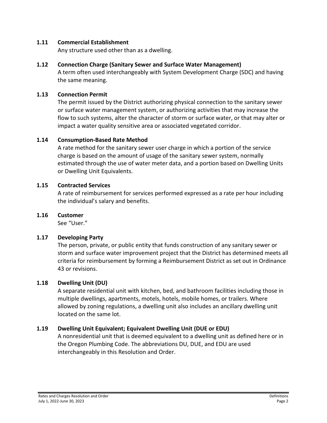#### **1.11 Commercial Establishment**

Any structure used other than as a dwelling.

## **1.12 Connection Charge (Sanitary Sewer and Surface Water Management)**

A term often used interchangeably with System Development Charge (SDC) and having the same meaning.

## **1.13 Connection Permit**

The permit issued by the District authorizing physical connection to the sanitary sewer or surface water management system, or authorizing activities that may increase the flow to such systems, alter the character of storm or surface water, or that may alter or impact a water quality sensitive area or associated vegetated corridor.

## **1.14 Consumption-Based Rate Method**

A rate method for the sanitary sewer user charge in which a portion of the service charge is based on the amount of usage of the sanitary sewer system, normally estimated through the use of water meter data, and a portion based on Dwelling Units or Dwelling Unit Equivalents.

#### **1.15 Contracted Services**

A rate of reimbursement for services performed expressed as a rate per hour including the individual's salary and benefits.

#### **1.16 Customer**

See "User."

#### **1.17 Developing Party**

The person, private, or public entity that funds construction of any sanitary sewer or storm and surface water improvement project that the District has determined meets all criteria for reimbursement by forming a Reimbursement District as set out in Ordinance 43 or revisions.

# **1.18 Dwelling Unit (DU)**

A separate residential unit with kitchen, bed, and bathroom facilities including those in multiple dwellings, apartments, motels, hotels, mobile homes, or trailers. Where allowed by zoning regulations, a dwelling unit also includes an ancillary dwelling unit located on the same lot.

# **1.19 Dwelling Unit Equivalent; Equivalent Dwelling Unit (DUE or EDU)**

A nonresidential unit that is deemed equivalent to a dwelling unit as defined here or in the Oregon Plumbing Code. The abbreviations DU, DUE, and EDU are used interchangeably in this Resolution and Order.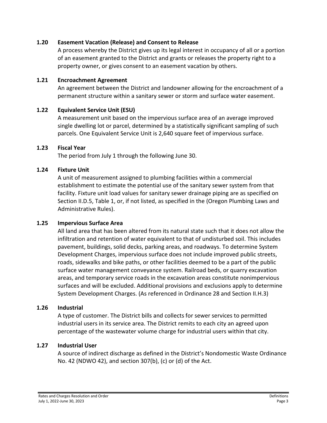#### **1.20 Easement Vacation (Release) and Consent to Release**

A process whereby the District gives up its legal interest in occupancy of all or a portion of an easement granted to the District and grants or releases the property right to a property owner, or gives consent to an easement vacation by others.

#### **1.21 Encroachment Agreement**

An agreement between the District and landowner allowing for the encroachment of a permanent structure within a sanitary sewer or storm and surface water easement.

#### **1.22 Equivalent Service Unit (ESU)**

A measurement unit based on the impervious surface area of an average improved single dwelling lot or parcel, determined by a statistically significant sampling of such parcels. One Equivalent Service Unit is 2,640 square feet of impervious surface.

#### **1.23 Fiscal Year**

The period from July 1 through the following June 30.

#### **1.24 Fixture Unit**

A unit of measurement assigned to plumbing facilities within a commercial establishment to estimate the potential use of the sanitary sewer system from that facility. Fixture unit load values for sanitary sewer drainage piping are as specified on Section II.D.5, Table 1, or, if not listed, as specified in the (Oregon Plumbing Laws and Administrative Rules).

#### **1.25 Impervious Surface Area**

All land area that has been altered from its natural state such that it does not allow the infiltration and retention of water equivalent to that of undisturbed soil. This includes pavement, buildings, solid decks, parking areas, and roadways. To determine System Development Charges, impervious surface does not include improved public streets, roads, sidewalks and bike paths, or other facilities deemed to be a part of the public surface water management conveyance system. Railroad beds, or quarry excavation areas, and temporary service roads in the excavation areas constitute nonimpervious surfaces and will be excluded. Additional provisions and exclusions apply to determine System Development Charges. (As referenced in Ordinance 28 and Section II.H.3)

#### **1.26 Industrial**

A type of customer. The District bills and collects for sewer services to permitted industrial users in its service area. The District remits to each city an agreed upon percentage of the wastewater volume charge for industrial users within that city.

#### **1.27 Industrial User**

A source of indirect discharge as defined in the District's Nondomestic Waste Ordinance No. 42 (NDWO 42), and section 307(b), (c) or (d) of the Act.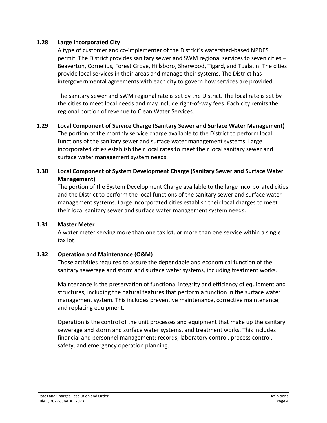#### **1.28 Large Incorporated City**

A type of customer and co-implementer of the District's watershed-based NPDES permit. The District provides sanitary sewer and SWM regional services to seven cities – Beaverton, Cornelius, Forest Grove, Hillsboro, Sherwood, Tigard, and Tualatin. The cities provide local services in their areas and manage their systems. The District has intergovernmental agreements with each city to govern how services are provided.

The sanitary sewer and SWM regional rate is set by the District. The local rate is set by the cities to meet local needs and may include right-of-way fees. Each city remits the regional portion of revenue to Clean Water Services.

**1.29 Local Component of Service Charge (Sanitary Sewer and Surface Water Management)** The portion of the monthly service charge available to the District to perform local functions of the sanitary sewer and surface water management systems. Large incorporated cities establish their local rates to meet their local sanitary sewer and surface water management system needs.

# **1.30 Local Component of System Development Charge (Sanitary Sewer and Surface Water Management)**

The portion of the System Development Charge available to the large incorporated cities and the District to perform the local functions of the sanitary sewer and surface water management systems. Large incorporated cities establish their local charges to meet their local sanitary sewer and surface water management system needs.

#### **1.31 Master Meter**

A water meter serving more than one tax lot, or more than one service within a single tax lot.

# **1.32 Operation and Maintenance (O&M)**

Those activities required to assure the dependable and economical function of the sanitary sewerage and storm and surface water systems, including treatment works.

Maintenance is the preservation of functional integrity and efficiency of equipment and structures, including the natural features that perform a function in the surface water management system. This includes preventive maintenance, corrective maintenance, and replacing equipment.

Operation is the control of the unit processes and equipment that make up the sanitary sewerage and storm and surface water systems, and treatment works. This includes financial and personnel management; records, laboratory control, process control, safety, and emergency operation planning.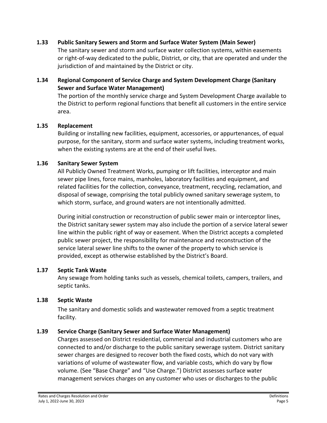#### **1.33 Public Sanitary Sewers and Storm and Surface Water System (Main Sewer)**

The sanitary sewer and storm and surface water collection systems, within easements or right-of-way dedicated to the public, District, or city, that are operated and under the jurisdiction of and maintained by the District or city.

# **1.34 Regional Component of Service Charge and System Development Charge (Sanitary Sewer and Surface Water Management)**

The portion of the monthly service charge and System Development Charge available to the District to perform regional functions that benefit all customers in the entire service area.

#### **1.35 Replacement**

Building or installing new facilities, equipment, accessories, or appurtenances, of equal purpose, for the sanitary, storm and surface water systems, including treatment works, when the existing systems are at the end of their useful lives.

#### **1.36 Sanitary Sewer System**

All Publicly Owned Treatment Works, pumping or lift facilities, interceptor and main sewer pipe lines, force mains, manholes, laboratory facilities and equipment, and related facilities for the collection, conveyance, treatment, recycling, reclamation, and disposal of sewage, comprising the total publicly owned sanitary sewerage system, to which storm, surface, and ground waters are not intentionally admitted.

During initial construction or reconstruction of public sewer main or interceptor lines, the District sanitary sewer system may also include the portion of a service lateral sewer line within the public right of way or easement. When the District accepts a completed public sewer project, the responsibility for maintenance and reconstruction of the service lateral sewer line shifts to the owner of the property to which service is provided, except as otherwise established by the District's Board.

#### **1.37 Septic Tank Waste**

Any sewage from holding tanks such as vessels, chemical toilets, campers, trailers, and septic tanks.

#### **1.38 Septic Waste**

The sanitary and domestic solids and wastewater removed from a septic treatment facility.

#### **1.39 Service Charge (Sanitary Sewer and Surface Water Management)**

Charges assessed on District residential, commercial and industrial customers who are connected to and/or discharge to the public sanitary sewerage system. District sanitary sewer charges are designed to recover both the fixed costs, which do not vary with variations of volume of wastewater flow, and variable costs, which do vary by flow volume. (See "Base Charge" and "Use Charge.") District assesses surface water management services charges on any customer who uses or discharges to the public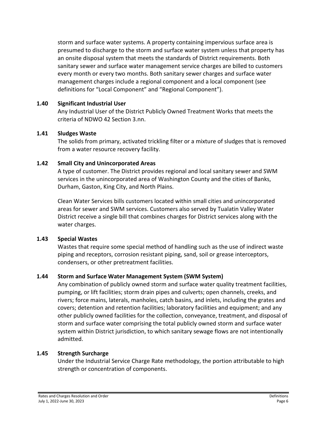storm and surface water systems. A property containing impervious surface area is presumed to discharge to the storm and surface water system unless that property has an onsite disposal system that meets the standards of District requirements. Both sanitary sewer and surface water management service charges are billed to customers every month or every two months. Both sanitary sewer charges and surface water management charges include a regional component and a local component (see definitions for "Local Component" and "Regional Component").

## **1.40 Significant Industrial User**

Any Industrial User of the District Publicly Owned Treatment Works that meets the criteria of NDWO 42 Section 3.nn.

## **1.41 Sludges Waste**

The solids from primary, activated trickling filter or a mixture of sludges that is removed from a water resource recovery facility.

# **1.42 Small City and Unincorporated Areas**

A type of customer. The District provides regional and local sanitary sewer and SWM services in the unincorporated area of Washington County and the cities of Banks, Durham, Gaston, King City, and North Plains.

Clean Water Services bills customers located within small cities and unincorporated areas for sewer and SWM services. Customers also served by Tualatin Valley Water District receive a single bill that combines charges for District services along with the water charges.

#### **1.43 Special Wastes**

Wastes that require some special method of handling such as the use of indirect waste piping and receptors, corrosion resistant piping, sand, soil or grease interceptors, condensers, or other pretreatment facilities.

# **1.44 Storm and Surface Water Management System (SWM System)**

Any combination of publicly owned storm and surface water quality treatment facilities, pumping, or lift facilities; storm drain pipes and culverts; open channels, creeks, and rivers; force mains, laterals, manholes, catch basins, and inlets, including the grates and covers; detention and retention facilities; laboratory facilities and equipment; and any other publicly owned facilities for the collection, conveyance, treatment, and disposal of storm and surface water comprising the total publicly owned storm and surface water system within District jurisdiction, to which sanitary sewage flows are not intentionally admitted.

#### **1.45 Strength Surcharge**

Under the Industrial Service Charge Rate methodology, the portion attributable to high strength or concentration of components.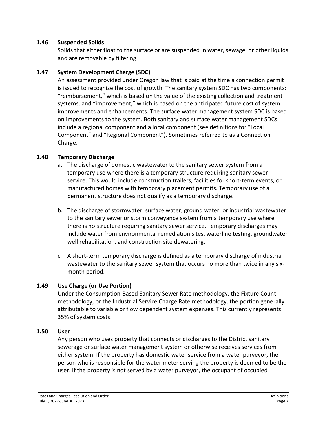#### **1.46 Suspended Solids**

Solids that either float to the surface or are suspended in water, sewage, or other liquids and are removable by filtering.

# **1.47 System Development Charge (SDC)**

An assessment provided under Oregon law that is paid at the time a connection permit is issued to recognize the cost of growth. The sanitary system SDC has two components: "reimbursement," which is based on the value of the existing collection and treatment systems, and "improvement," which is based on the anticipated future cost of system improvements and enhancements. The surface water management system SDC is based on improvements to the system. Both sanitary and surface water management SDCs include a regional component and a local component (see definitions for "Local Component" and "Regional Component"). Sometimes referred to as a Connection Charge.

## **1.48 Temporary Discharge**

- a. The discharge of domestic wastewater to the sanitary sewer system from a temporary use where there is a temporary structure requiring sanitary sewer service. This would include construction trailers, facilities for short-term events, or manufactured homes with temporary placement permits. Temporary use of a permanent structure does not qualify as a temporary discharge.
- b. The discharge of stormwater, surface water, ground water, or industrial wastewater to the sanitary sewer or storm conveyance system from a temporary use where there is no structure requiring sanitary sewer service. Temporary discharges may include water from environmental remediation sites, waterline testing, groundwater well rehabilitation, and construction site dewatering.
- c. A short-term temporary discharge is defined as a temporary discharge of industrial wastewater to the sanitary sewer system that occurs no more than twice in any sixmonth period.

# **1.49 Use Charge (or Use Portion)**

Under the Consumption-Based Sanitary Sewer Rate methodology, the Fixture Count methodology, or the Industrial Service Charge Rate methodology, the portion generally attributable to variable or flow dependent system expenses. This currently represents 35% of system costs.

#### **1.50 User**

Any person who uses property that connects or discharges to the District sanitary sewerage or surface water management system or otherwise receives services from either system. If the property has domestic water service from a water purveyor, the person who is responsible for the water meter serving the property is deemed to be the user. If the property is not served by a water purveyor, the occupant of occupied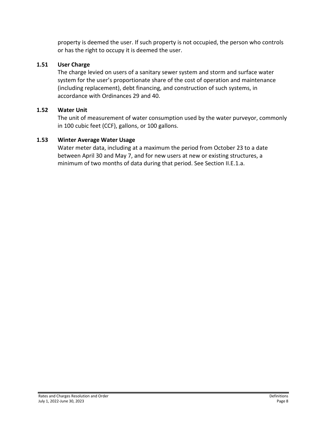property is deemed the user. If such property is not occupied, the person who controls or has the right to occupy it is deemed the user.

# **1.51 User Charge**

The charge levied on users of a sanitary sewer system and storm and surface water system for the user's proportionate share of the cost of operation and maintenance (including replacement), debt financing, and construction of such systems, in accordance with Ordinances 29 and 40.

## **1.52 Water Unit**

The unit of measurement of water consumption used by the water purveyor, commonly in 100 cubic feet (CCF), gallons, or 100 gallons.

## **1.53 Winter Average Water Usage**

Water meter data, including at a maximum the period from October 23 to a date between April 30 and May 7, and for new users at new or existing structures, a minimum of two months of data during that period. See Section II.E.1.a.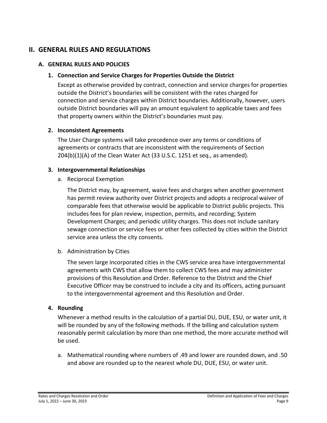# <span id="page-12-0"></span>**II. GENERAL RULES AND REGULATIONS**

#### <span id="page-12-2"></span><span id="page-12-1"></span>**A. GENERAL RULES AND POLICIES**

#### **1. Connection and Service Charges for Properties Outside the District**

Except as otherwise provided by contract, connection and service charges for properties outside the District's boundaries will be consistent with the rates charged for connection and service charges within District boundaries. Additionally, however, users outside District boundaries will pay an amount equivalent to applicable taxes and fees that property owners within the District's boundaries must pay.

#### <span id="page-12-3"></span>**2. Inconsistent Agreements**

The User Charge systems will take precedence over any terms or conditions of agreements or contracts that are inconsistent with the requirements of Section 204(b)(1)(A) of the Clean Water Act (33 U.S.C. 1251 et seq., as amended).

#### <span id="page-12-4"></span>**3. Intergovernmental Relationships**

a. Reciprocal Exemption

The District may, by agreement, waive fees and charges when another government has permit review authority over District projects and adopts a reciprocal waiver of comparable fees that otherwise would be applicable to District public projects. This includes fees for plan review, inspection, permits, and recording; System Development Charges; and periodic utility charges. This does not include sanitary sewage connection or service fees or other fees collected by cities within the District service area unless the city consents.

b. Administration by Cities

The seven large incorporated cities in the CWS service area have intergovernmental agreements with CWS that allow them to collect CWS fees and may administer provisions of this Resolution and Order. Reference to the District and the Chief Executive Officer may be construed to include a city and its officers, acting pursuant to the intergovernmental agreement and this Resolution and Order.

#### <span id="page-12-5"></span>**4. Rounding**

Whenever a method results in the calculation of a partial DU, DUE, ESU, or water unit, it will be rounded by any of the following methods. If the billing and calculation system reasonably permit calculation by more than one method, the more accurate method will be used.

a. Mathematical rounding where numbers of .49 and lower are rounded down, and .50 and above are rounded up to the nearest whole DU, DUE, ESU, or water unit.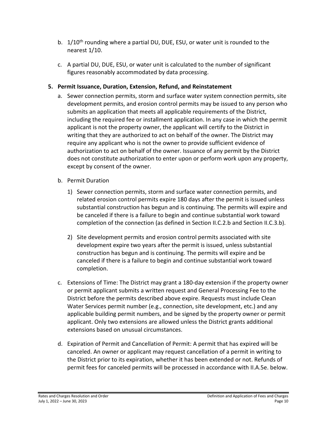- b. 1/10<sup>th</sup> rounding where a partial DU, DUE, ESU, or water unit is rounded to the nearest 1/10.
- c. A partial DU, DUE, ESU, or water unit is calculated to the number of significant figures reasonably accommodated by data processing.

# <span id="page-13-0"></span>**5. Permit Issuance, Duration, Extension, Refund, and Reinstatement**

- a. Sewer connection permits, storm and surface water system connection permits, site development permits, and erosion control permits may be issued to any person who submits an application that meets all applicable requirements of the District, including the required fee or installment application. In any case in which the permit applicant is not the property owner, the applicant will certify to the District in writing that they are authorized to act on behalf of the owner. The District may require any applicant who is not the owner to provide sufficient evidence of authorization to act on behalf of the owner. Issuance of any permit by the District does not constitute authorization to enter upon or perform work upon any property, except by consent of the owner.
- b. Permit Duration
	- 1) Sewer connection permits, storm and surface water connection permits, and related erosion control permits expire 180 days after the permit is issued unless substantial construction has begun and is continuing. The permits will expire and be canceled if there is a failure to begin and continue substantial work toward completion of the connection (as defined in Section II.C.2.b and Section II.C.3.b).
	- 2) Site development permits and erosion control permits associated with site development expire two years after the permit is issued, unless substantial construction has begun and is continuing. The permits will expire and be canceled if there is a failure to begin and continue substantial work toward completion.
- c. Extensions of Time: The District may grant a 180-day extension if the property owner or permit applicant submits a written request and General Processing Fee to the District before the permits described above expire. Requests must include Clean Water Services permit number (e.g., connection, site development, etc.) and any applicable building permit numbers, and be signed by the property owner or permit applicant. Only two extensions are allowed unless the District grants additional extensions based on unusual circumstances.
- d. Expiration of Permit and Cancellation of Permit: A permit that has expired will be canceled. An owner or applicant may request cancellation of a permit in writing to the District prior to its expiration, whether it has been extended or not. Refunds of permit fees for canceled permits will be processed in accordance with II.A.5e. below.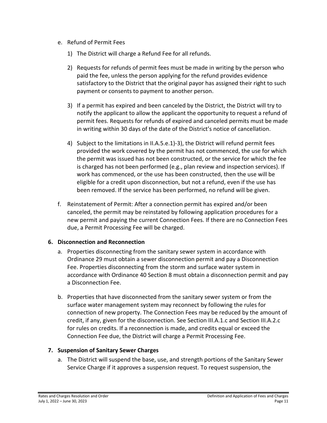- e. Refund of Permit Fees
	- 1) The District will charge a Refund Fee for all refunds.
	- 2) Requests for refunds of permit fees must be made in writing by the person who paid the fee, unless the person applying for the refund provides evidence satisfactory to the District that the original payor has assigned their right to such payment or consents to payment to another person.
	- 3) If a permit has expired and been canceled by the District, the District will try to notify the applicant to allow the applicant the opportunity to request a refund of permit fees. Requests for refunds of expired and canceled permits must be made in writing within 30 days of the date of the District's notice of cancellation.
	- 4) Subject to the limitations in II.A.5.e.1)-3), the District will refund permit fees provided the work covered by the permit has not commenced, the use for which the permit was issued has not been constructed, or the service for which the fee is charged has not been performed (e.g., plan review and inspection services). If work has commenced, or the use has been constructed, then the use will be eligible for a credit upon disconnection, but not a refund, even if the use has been removed. If the service has been performed, no refund will be given.
- f. Reinstatement of Permit: After a connection permit has expired and/or been canceled, the permit may be reinstated by following application procedures for a new permit and paying the current Connection Fees. If there are no Connection Fees due, a Permit Processing Fee will be charged.

# <span id="page-14-0"></span>**6. Disconnection and Reconnection**

- a. Properties disconnecting from the sanitary sewer system in accordance with Ordinance 29 must obtain a sewer disconnection permit and pay a Disconnection Fee. Properties disconnecting from the storm and surface water system in accordance with Ordinance 40 Section 8 must obtain a disconnection permit and pay a Disconnection Fee.
- b. Properties that have disconnected from the sanitary sewer system or from the surface water management system may reconnect by following the rules for connection of new property. The Connection Fees may be reduced by the amount of credit, if any, given for the disconnection. See Section III.A.1.c and Section III.A.2.c for rules on credits. If a reconnection is made, and credits equal or exceed the Connection Fee due, the District will charge a Permit Processing Fee.

# <span id="page-14-1"></span>**7. Suspension of Sanitary Sewer Charges**

a. The District will suspend the base, use, and strength portions of the Sanitary Sewer Service Charge if it approves a suspension request. To request suspension, the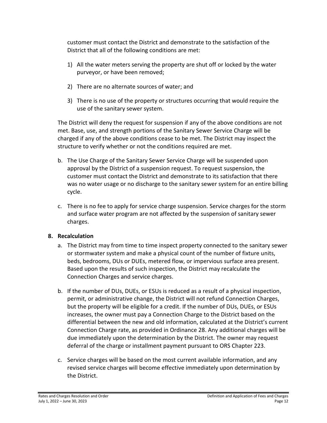customer must contact the District and demonstrate to the satisfaction of the District that all of the following conditions are met:

- 1) All the water meters serving the property are shut off or locked by the water purveyor, or have been removed;
- 2) There are no alternate sources of water; and
- 3) There is no use of the property or structures occurring that would require the use of the sanitary sewer system.

The District will deny the request for suspension if any of the above conditions are not met. Base, use, and strength portions of the Sanitary Sewer Service Charge will be charged if any of the above conditions cease to be met. The District may inspect the structure to verify whether or not the conditions required are met.

- b. The Use Charge of the Sanitary Sewer Service Charge will be suspended upon approval by the District of a suspension request. To request suspension, the customer must contact the District and demonstrate to its satisfaction that there was no water usage or no discharge to the sanitary sewer system for an entire billing cycle.
- c. There is no fee to apply for service charge suspension. Service charges for the storm and surface water program are not affected by the suspension of sanitary sewer charges.

# <span id="page-15-0"></span>**8. Recalculation**

- a. The District may from time to time inspect property connected to the sanitary sewer or stormwater system and make a physical count of the number of fixture units, beds, bedrooms, DUs or DUEs, metered flow, or impervious surface area present. Based upon the results of such inspection, the District may recalculate the Connection Charges and service charges.
- b. If the number of DUs, DUEs, or ESUs is reduced as a result of a physical inspection, permit, or administrative change, the District will not refund Connection Charges, but the property will be eligible for a credit. If the number of DUs, DUEs, or ESUs increases, the owner must pay a Connection Charge to the District based on the differential between the new and old information, calculated at the District's current Connection Charge rate, as provided in Ordinance 28. Any additional charges will be due immediately upon the determination by the District. The owner may request deferral of the charge or installment payment pursuant to ORS Chapter 223.
- c. Service charges will be based on the most current available information, and any revised service charges will become effective immediately upon determination by the District.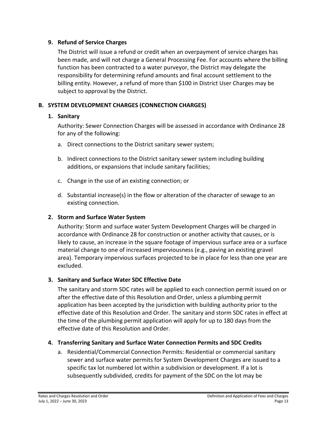#### <span id="page-16-0"></span>**9. Refund of Service Charges**

The District will issue a refund or credit when an overpayment of service charges has been made, and will not charge a General Processing Fee. For accounts where the billing function has been contracted to a water purveyor, the District may delegate the responsibility for determining refund amounts and final account settlement to the billing entity. However, a refund of more than \$100 in District User Charges may be subject to approval by the District.

# <span id="page-16-2"></span><span id="page-16-1"></span>**B. SYSTEM DEVELOPMENT CHARGES (CONNECTION CHARGES)**

## **1. Sanitary**

Authority: Sewer Connection Charges will be assessed in accordance with Ordinance 28 for any of the following:

- a. Direct connections to the District sanitary sewer system;
- b. Indirect connections to the District sanitary sewer system including building additions, or expansions that include sanitary facilities;
- c. Change in the use of an existing connection; or
- d. Substantial increase(s) in the flow or alteration of the character of sewage to an existing connection.

# <span id="page-16-3"></span>**2. Storm and Surface Water System**

Authority: Storm and surface water System Development Charges will be charged in accordance with Ordinance 28 for construction or another activity that causes, or is likely to cause, an increase in the square footage of impervious surface area or a surface material change to one of increased imperviousness (e.g., paving an existing gravel area). Temporary impervious surfaces projected to be in place for less than one year are excluded.

# <span id="page-16-4"></span>**3. Sanitary and Surface Water SDC Effective Date**

The sanitary and storm SDC rates will be applied to each connection permit issued on or after the effective date of this Resolution and Order, unless a plumbing permit application has been accepted by the jurisdiction with building authority prior to the effective date of this Resolution and Order. The sanitary and storm SDC rates in effect at the time of the plumbing permit application will apply for up to 180 days from the effective date of this Resolution and Order.

# <span id="page-16-5"></span>**4. Transferring Sanitary and Surface Water Connection Permits and SDC Credits**

a. Residential/Commercial Connection Permits: Residential or commercial sanitary sewer and surface water permits for System Development Charges are issued to a specific tax lot numbered lot within a subdivision or development. If a lot is subsequently subdivided, credits for payment of the SDC on the lot may be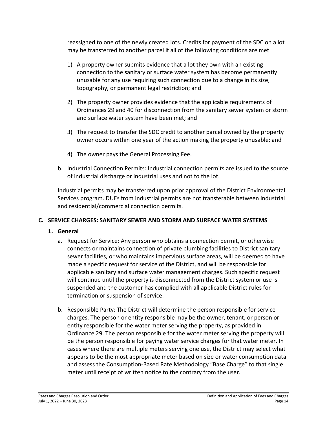reassigned to one of the newly created lots. Credits for payment of the SDC on a lot may be transferred to another parcel if all of the following conditions are met.

- 1) A property owner submits evidence that a lot they own with an existing connection to the sanitary or surface water system has become permanently unusable for any use requiring such connection due to a change in its size, topography, or permanent legal restriction; and
- 2) The property owner provides evidence that the applicable requirements of Ordinances 29 and 40 for disconnection from the sanitary sewer system or storm and surface water system have been met; and
- 3) The request to transfer the SDC credit to another parcel owned by the property owner occurs within one year of the action making the property unusable; and
- 4) The owner pays the General Processing Fee.
- b. Industrial Connection Permits: Industrial connection permits are issued to the source of industrial discharge or industrial uses and not to the lot.

Industrial permits may be transferred upon prior approval of the District Environmental Services program. DUEs from industrial permits are not transferable between industrial and residential/commercial connection permits.

# <span id="page-17-1"></span><span id="page-17-0"></span>**C. SERVICE CHARGES: SANITARY SEWER AND STORM AND SURFACE WATER SYSTEMS**

# **1. General**

- a. Request for Service: Any person who obtains a connection permit, or otherwise connects or maintains connection of private plumbing facilities to District sanitary sewer facilities, or who maintains impervious surface areas, will be deemed to have made a specific request for service of the District, and will be responsible for applicable sanitary and surface water management charges. Such specific request will continue until the property is disconnected from the District system or use is suspended and the customer has complied with all applicable District rules for termination or suspension of service.
- b. Responsible Party: The District will determine the person responsible for service charges. The person or entity responsible may be the owner, tenant, or person or entity responsible for the water meter serving the property, as provided in Ordinance 29. The person responsible for the water meter serving the property will be the person responsible for paying water service charges for that water meter. In cases where there are multiple meters serving one use, the District may select what appears to be the most appropriate meter based on size or water consumption data and assess the Consumption-Based Rate Methodology "Base Charge" to that single meter until receipt of written notice to the contrary from the user.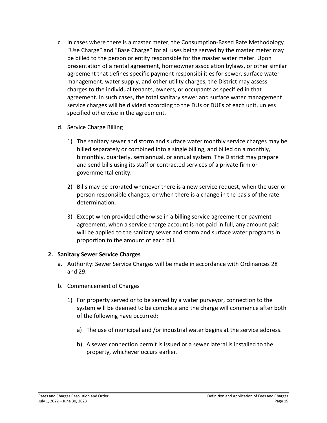- c. In cases where there is a master meter, the Consumption-Based Rate Methodology "Use Charge" and "Base Charge" for all uses being served by the master meter may be billed to the person or entity responsible for the master water meter. Upon presentation of a rental agreement, homeowner association bylaws, or other similar agreement that defines specific payment responsibilities for sewer, surface water management, water supply, and other utility charges, the District may assess charges to the individual tenants, owners, or occupants as specified in that agreement. In such cases, the total sanitary sewer and surface water management service charges will be divided according to the DUs or DUEs of each unit, unless specified otherwise in the agreement.
- d. Service Charge Billing
	- 1) The sanitary sewer and storm and surface water monthly service charges may be billed separately or combined into a single billing, and billed on a monthly, bimonthly, quarterly, semiannual, or annual system. The District may prepare and send bills using its staff or contracted services of a private firm or governmental entity.
	- 2) Bills may be prorated whenever there is a new service request, when the user or person responsible changes, or when there is a change in the basis of the rate determination.
	- 3) Except when provided otherwise in a billing service agreement or payment agreement, when a service charge account is not paid in full, any amount paid will be applied to the sanitary sewer and storm and surface water programs in proportion to the amount of each bill.

#### <span id="page-18-0"></span>**2. Sanitary Sewer Service Charges**

- a. Authority: Sewer Service Charges will be made in accordance with Ordinances 28 and 29.
- b. Commencement of Charges
	- 1) For property served or to be served by a water purveyor, connection to the system will be deemed to be complete and the charge will commence after both of the following have occurred:
		- a) The use of municipal and /or industrial water begins at the service address.
		- b) A sewer connection permit is issued or a sewer lateral is installed to the property, whichever occurs earlier.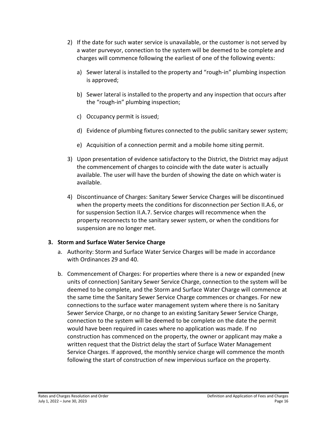- 2) If the date for such water service is unavailable, or the customer is not served by a water purveyor, connection to the system will be deemed to be complete and charges will commence following the earliest of one of the following events:
	- a) Sewer lateral is installed to the property and "rough-in" plumbing inspection is approved;
	- b) Sewer lateral is installed to the property and any inspection that occurs after the "rough-in" plumbing inspection;
	- c) Occupancy permit is issued;
	- d) Evidence of plumbing fixtures connected to the public sanitary sewer system;
	- e) Acquisition of a connection permit and a mobile home siting permit.
- 3) Upon presentation of evidence satisfactory to the District, the District may adjust the commencement of charges to coincide with the date water is actually available. The user will have the burden of showing the date on which water is available.
- 4) Discontinuance of Charges: Sanitary Sewer Service Charges will be discontinued when the property meets the conditions for disconnection per Section II.A.6, or for suspension Section II.A.7. Service charges will recommence when the property reconnects to the sanitary sewer system, or when the conditions for suspension are no longer met.

#### <span id="page-19-0"></span>**3. Storm and Surface Water Service Charge**

- a. Authority: Storm and Surface Water Service Charges will be made in accordance with Ordinances 29 and 40.
- b. Commencement of Charges: For properties where there is a new or expanded (new units of connection) Sanitary Sewer Service Charge, connection to the system will be deemed to be complete, and the Storm and Surface Water Charge will commence at the same time the Sanitary Sewer Service Charge commences or changes. For new connections to the surface water management system where there is no Sanitary Sewer Service Charge, or no change to an existing Sanitary Sewer Service Charge, connection to the system will be deemed to be complete on the date the permit would have been required in cases where no application was made. If no construction has commenced on the property, the owner or applicant may make a written request that the District delay the start of Surface Water Management Service Charges. If approved, the monthly service charge will commence the month following the start of construction of new impervious surface on the property.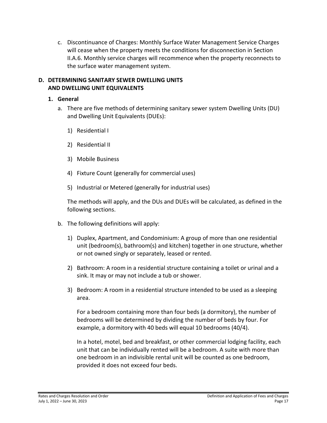c. Discontinuance of Charges: Monthly Surface Water Management Service Charges will cease when the property meets the conditions for disconnection in Section II.A.6. Monthly service charges will recommence when the property reconnects to the surface water management system.

#### <span id="page-20-0"></span>**D. DETERMINING SANITARY SEWER DWELLING UNITS AND DWELLING UNIT EQUIVALENTS**

#### <span id="page-20-1"></span>**1. General**

- a. There are five methods of determining sanitary sewer system Dwelling Units (DU) and Dwelling Unit Equivalents (DUEs):
	- 1) Residential I
	- 2) Residential II
	- 3) Mobile Business
	- 4) Fixture Count (generally for commercial uses)
	- 5) Industrial or Metered (generally for industrial uses)

The methods will apply, and the DUs and DUEs will be calculated, as defined in the following sections.

- b. The following definitions will apply:
	- 1) Duplex, Apartment, and Condominium: A group of more than one residential unit (bedroom(s), bathroom(s) and kitchen) together in one structure, whether or not owned singly or separately, leased or rented.
	- 2) Bathroom: A room in a residential structure containing a toilet or urinal and a sink. It may or may not include a tub or shower.
	- 3) Bedroom: A room in a residential structure intended to be used as a sleeping area.

For a bedroom containing more than four beds (a dormitory), the number of bedrooms will be determined by dividing the number of beds by four. For example, a dormitory with 40 beds will equal 10 bedrooms (40/4).

In a hotel, motel, bed and breakfast, or other commercial lodging facility, each unit that can be individually rented will be a bedroom. A suite with more than one bedroom in an indivisible rental unit will be counted as one bedroom, provided it does not exceed four beds.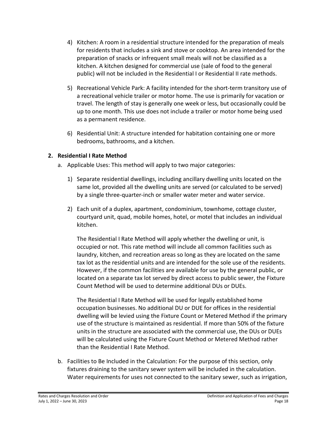- 4) Kitchen: A room in a residential structure intended for the preparation of meals for residents that includes a sink and stove or cooktop. An area intended for the preparation of snacks or infrequent small meals will not be classified as a kitchen. A kitchen designed for commercial use (sale of food to the general public) will not be included in the Residential I or Residential II rate methods.
- 5) Recreational Vehicle Park: A facility intended for the short-term transitory use of a recreational vehicle trailer or motor home. The use is primarily for vacation or travel. The length of stay is generally one week or less, but occasionally could be up to one month. This use does not include a trailer or motor home being used as a permanent residence.
- 6) Residential Unit: A structure intended for habitation containing one or more bedrooms, bathrooms, and a kitchen.

# <span id="page-21-0"></span>**2. Residential I Rate Method**

- a. Applicable Uses: This method will apply to two major categories:
	- 1) Separate residential dwellings, including ancillary dwelling units located on the same lot, provided all the dwelling units are served (or calculated to be served) by a single three-quarter-inch or smaller water meter and water service.
	- 2) Each unit of a duplex, apartment, condominium, townhome, cottage cluster, courtyard unit, quad, mobile homes, hotel, or motel that includes an individual kitchen.

The Residential I Rate Method will apply whether the dwelling or unit, is occupied or not. This rate method will include all common facilities such as laundry, kitchen, and recreation areas so long as they are located on the same tax lot as the residential units and are intended for the sole use of the residents. However, if the common facilities are available for use by the general public, or located on a separate tax lot served by direct access to public sewer, the Fixture Count Method will be used to determine additional DUs or DUEs.

The Residential I Rate Method will be used for legally established home occupation businesses. No additional DU or DUE for offices in the residential dwelling will be levied using the Fixture Count or Metered Method if the primary use of the structure is maintained as residential. If more than 50% of the fixture units in the structure are associated with the commercial use, the DUs or DUEs will be calculated using the Fixture Count Method or Metered Method rather than the Residential I Rate Method.

b. Facilities to Be Included in the Calculation: For the purpose of this section, only fixtures draining to the sanitary sewer system will be included in the calculation. Water requirements for uses not connected to the sanitary sewer, such as irrigation,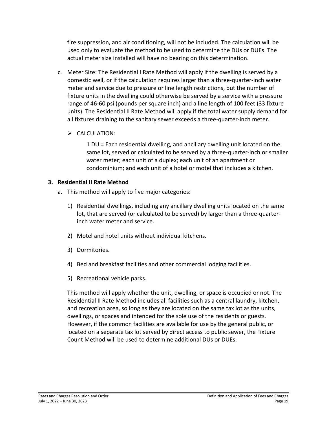fire suppression, and air conditioning, will not be included. The calculation will be used only to evaluate the method to be used to determine the DUs or DUEs. The actual meter size installed will have no bearing on this determination.

- c. Meter Size: The Residential I Rate Method will apply if the dwelling is served by a domestic well, or if the calculation requires larger than a three-quarter-inch water meter and service due to pressure or line length restrictions, but the number of fixture units in the dwelling could otherwise be served by a service with a pressure range of 46-60 psi (pounds per square inch) and a line length of 100 feet (33 fixture units). The Residential II Rate Method will apply if the total water supply demand for all fixtures draining to the sanitary sewer exceeds a three-quarter-inch meter.
	- $\triangleright$  CALCULATION:

1 DU = Each residential dwelling, and ancillary dwelling unit located on the same lot, served or calculated to be served by a three-quarter-inch or smaller water meter; each unit of a duplex; each unit of an apartment or condominium; and each unit of a hotel or motel that includes a kitchen.

## <span id="page-22-0"></span>**3. Residential II Rate Method**

- a. This method will apply to five major categories:
	- 1) Residential dwellings, including any ancillary dwelling units located on the same lot, that are served (or calculated to be served) by larger than a three-quarterinch water meter and service.
	- 2) Motel and hotel units without individual kitchens.
	- 3) Dormitories.
	- 4) Bed and breakfast facilities and other commercial lodging facilities.
	- 5) Recreational vehicle parks.

This method will apply whether the unit, dwelling, or space is occupied or not. The Residential II Rate Method includes all facilities such as a central laundry, kitchen, and recreation area, so long as they are located on the same tax lot as the units, dwellings, or spaces and intended for the sole use of the residents or guests. However, if the common facilities are available for use by the general public, or located on a separate tax lot served by direct access to public sewer, the Fixture Count Method will be used to determine additional DUs or DUEs.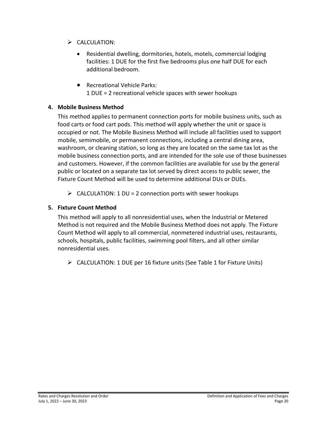- $\triangleright$  CALCULATION:
	- Residential dwelling, dormitories, hotels, motels, commercial lodging facilities: 1 DUE for the first five bedrooms plus one half DUE for each additional bedroom.
	- Recreational Vehicle Parks: 1 DUE = 2 recreational vehicle spaces with sewer hookups

# <span id="page-23-0"></span>**4. Mobile Business Method**

This method applies to permanent connection ports for mobile business units, such as food carts or food cart pods. This method will apply whether the unit or space is occupied or not. The Mobile Business Method will include all facilities used to support mobile, semimobile, or permanent connections, including a central dining area, washroom, or cleaning station, so long as they are located on the same tax lot as the mobile business connection ports, and are intended for the sole use of those businesses and customers. However, if the common facilities are available for use by the general public or located on a separate tax lot served by direct access to public sewer, the Fixture Count Method will be used to determine additional DUs or DUEs.

 $\triangleright$  CALCULATION: 1 DU = 2 connection ports with sewer hookups

# <span id="page-23-1"></span>**5. Fixture Count Method**

This method will apply to all nonresidential uses, when the Industrial or Metered Method is not required and the Mobile Business Method does not apply. The Fixture Count Method will apply to all commercial, nonmetered industrial uses, restaurants, schools, hospitals, public facilities, swimming pool filters, and all other similar nonresidential uses.

CALCULATION: 1 DUE per 16 fixture units (See Table 1 for Fixture Units)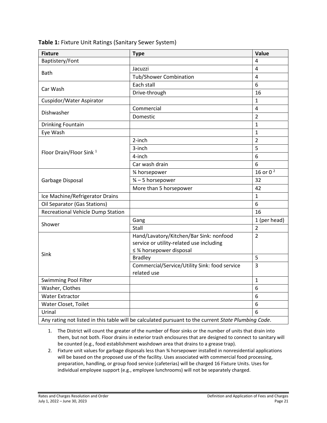| <b>Fixture</b>                                                                                      | <b>Type</b>                                   | Value          |  |  |  |
|-----------------------------------------------------------------------------------------------------|-----------------------------------------------|----------------|--|--|--|
| Baptistery/Font                                                                                     |                                               | 4              |  |  |  |
|                                                                                                     | Jacuzzi                                       | 4              |  |  |  |
| <b>Bath</b>                                                                                         | Tub/Shower Combination                        | 4              |  |  |  |
|                                                                                                     | Each stall                                    | 6              |  |  |  |
| Car Wash                                                                                            | Drive-through                                 | 16             |  |  |  |
| Cuspidor/Water Aspirator                                                                            |                                               | $\mathbf{1}$   |  |  |  |
|                                                                                                     | Commercial                                    | $\overline{4}$ |  |  |  |
| Dishwasher                                                                                          | Domestic                                      | $\overline{2}$ |  |  |  |
| <b>Drinking Fountain</b>                                                                            |                                               | $\mathbf{1}$   |  |  |  |
| Eye Wash                                                                                            |                                               | $\mathbf{1}$   |  |  |  |
|                                                                                                     | 2-inch                                        | $\overline{2}$ |  |  |  |
|                                                                                                     | 3-inch                                        | 5              |  |  |  |
| Floor Drain/Floor Sink <sup>1</sup>                                                                 | 4-inch                                        | 6              |  |  |  |
|                                                                                                     | Car wash drain                                | 6              |  |  |  |
|                                                                                                     | 3⁄4 horsepower                                | 16 or $0^2$    |  |  |  |
| Garbage Disposal                                                                                    | 3⁄4 - 5 horsepower                            | 32             |  |  |  |
|                                                                                                     | More than 5 horsepower                        | 42             |  |  |  |
| Ice Machine/Refrigerator Drains                                                                     |                                               | $\mathbf{1}$   |  |  |  |
| Oil Separator (Gas Stations)                                                                        |                                               | 6              |  |  |  |
| Recreational Vehicle Dump Station                                                                   |                                               | 16             |  |  |  |
|                                                                                                     | Gang                                          | 1 (per head)   |  |  |  |
| Shower                                                                                              | Stall                                         | $\overline{2}$ |  |  |  |
|                                                                                                     | Hand/Lavatory/Kitchen/Bar Sink: nonfood       | $\overline{2}$ |  |  |  |
|                                                                                                     | service or utility-related use including      |                |  |  |  |
| Sink                                                                                                | ≤ % horsepower disposal<br><b>Bradley</b>     | 5              |  |  |  |
|                                                                                                     | Commercial/Service/Utility Sink: food service | 3              |  |  |  |
|                                                                                                     | related use                                   |                |  |  |  |
| Swimming Pool Filter                                                                                |                                               | 1              |  |  |  |
| Washer, Clothes                                                                                     |                                               | 6              |  |  |  |
| <b>Water Extractor</b>                                                                              |                                               | 6              |  |  |  |
| Water Closet, Toilet                                                                                |                                               | 6              |  |  |  |
| Urinal                                                                                              |                                               | 6              |  |  |  |
| Any rating not listed in this table will be calculated pursuant to the current State Plumbing Code. |                                               |                |  |  |  |

**Table 1:** Fixture Unit Ratings (Sanitary Sewer System)

1. The District will count the greater of the number of floor sinks or the number of units that drain into them, but not both. Floor drains in exterior trash enclosures that are designed to connect to sanitary will be counted (e.g., food establishment washdown area that drains to a grease trap).

2. Fixture unit values for garbage disposals less than ¾ horsepower installed in nonresidential applications will be based on the proposed use of the facility. Uses associated with commercial food processing, preparation, handling, or group food service (cafeterias) will be charged 16 Fixture Units. Uses for individual employee support (e.g., employee lunchrooms) will not be separately charged.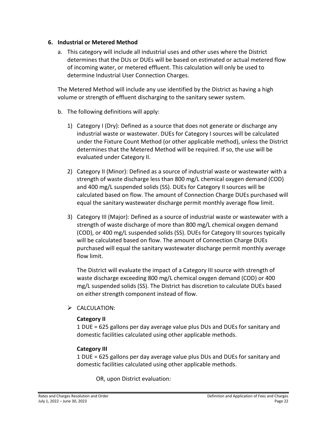#### <span id="page-25-0"></span>**6. Industrial or Metered Method**

a. This category will include all industrial uses and other uses where the District determines that the DUs or DUEs will be based on estimated or actual metered flow of incoming water, or metered effluent. This calculation will only be used to determine Industrial User Connection Charges.

The Metered Method will include any use identified by the District as having a high volume or strength of effluent discharging to the sanitary sewer system.

- b. The following definitions will apply:
	- 1) Category I (Dry): Defined as a source that does not generate or discharge any industrial waste or wastewater. DUEs for Category I sources will be calculated under the Fixture Count Method (or other applicable method), unless the District determines that the Metered Method will be required. If so, the use will be evaluated under Category II.
	- 2) Category II (Minor): Defined as a source of industrial waste or wastewater with a strength of waste discharge less than 800 mg/L chemical oxygen demand (COD) and 400 mg/L suspended solids (SS). DUEs for Category II sources will be calculated based on flow. The amount of Connection Charge DUEs purchased will equal the sanitary wastewater discharge permit monthly average flow limit.
	- 3) Category III (Major): Defined as a source of industrial waste or wastewater with a strength of waste discharge of more than 800 mg/L chemical oxygen demand (COD), or 400 mg/L suspended solids (SS). DUEs for Category III sources typically will be calculated based on flow. The amount of Connection Charge DUEs purchased will equal the sanitary wastewater discharge permit monthly average flow limit.

The District will evaluate the impact of a Category III source with strength of waste discharge exceeding 800 mg/L chemical oxygen demand (COD) or 400 mg/L suspended solids (SS). The District has discretion to calculate DUEs based on either strength component instead of flow.

 $\triangleright$  CALCULATION:

#### **Category II**

1 DUE = 625 gallons per day average value plus DUs and DUEs for sanitary and domestic facilities calculated using other applicable methods.

# **Category III**

1 DUE = 625 gallons per day average value plus DUs and DUEs for sanitary and domestic facilities calculated using other applicable methods.

OR, upon District evaluation: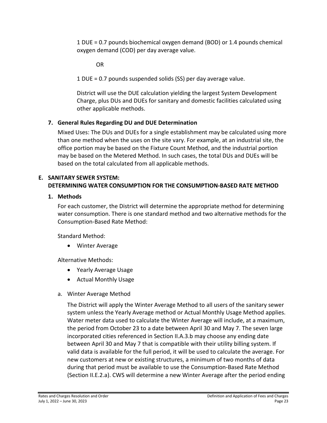1 DUE = 0.7 pounds biochemical oxygen demand (BOD) or 1.4 pounds chemical oxygen demand (COD) per day average value.

OR

1 DUE = 0.7 pounds suspended solids (SS) per day average value.

District will use the DUE calculation yielding the largest System Development Charge, plus DUs and DUEs for sanitary and domestic facilities calculated using other applicable methods.

# <span id="page-26-0"></span>**7. General Rules Regarding DU and DUE Determination**

Mixed Uses: The DUs and DUEs for a single establishment may be calculated using more than one method when the uses on the site vary. For example, at an industrial site, the office portion may be based on the Fixture Count Method, and the industrial portion may be based on the Metered Method. In such cases, the total DUs and DUEs will be based on the total calculated from all applicable methods.

#### <span id="page-26-1"></span>**E. SANITARY SEWER SYSTEM: DETERMINING WATER CONSUMPTION FOR THE CONSUMPTION-BASED RATE METHOD**

## <span id="page-26-2"></span>**1. Methods**

For each customer, the District will determine the appropriate method for determining water consumption. There is one standard method and two alternative methods for the Consumption-Based Rate Method:

Standard Method:

• Winter Average

Alternative Methods:

- Yearly Average Usage
- Actual Monthly Usage
- a. Winter Average Method

The District will apply the Winter Average Method to all users of the sanitary sewer system unless the Yearly Average method or Actual Monthly Usage Method applies. Water meter data used to calculate the Winter Average will include, at a maximum, the period from October 23 to a date between April 30 and May 7. The seven large incorporated cities referenced in Section II.A.3.b may choose any ending date between April 30 and May 7 that is compatible with their utility billing system. If valid data is available for the full period, it will be used to calculate the average. For new customers at new or existing structures, a minimum of two months of data during that period must be available to use the Consumption-Based Rate Method (Section II.E.2.a). CWS will determine a new Winter Average after the period ending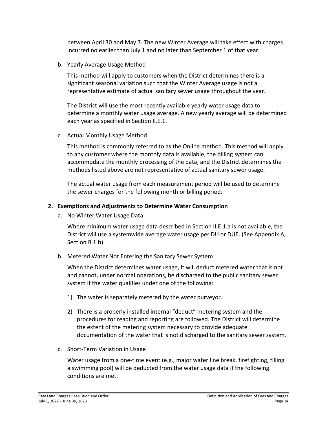between April 30 and May 7. The new Winter Average will take effect with charges incurred no earlier than July 1 and no later than September 1 of that year.

b. Yearly Average Usage Method

This method will apply to customers when the District determines there is a significant seasonal variation such that the Winter Average usage is not a representative estimate of actual sanitary sewer usage throughout the year.

The District will use the most recently available yearly water usage data to determine a monthly water usage average. A new yearly average will be determined each year as specified in Section II.E.1.

c. Actual Monthly Usage Method

This method is commonly referred to as the Online method. This method will apply to any customer where the monthly data is available, the billing system can accommodate the monthly processing of the data, and the District determines the methods listed above are not representative of actual sanitary sewer usage.

The actual water usage from each measurement period will be used to determine the sewer charges for the following month or billing period.

#### <span id="page-27-0"></span>**2. Exemptions and Adjustments to Determine Water Consumption**

a. No Winter Water Usage Data

Where minimum water usage data described in Section II.E.1.a is not available, the District will use a systemwide average water usage per DU or DUE. (See Appendix A, Section B.1.b)

b. Metered Water Not Entering the Sanitary Sewer System

When the District determines water usage, it will deduct metered water that is not and cannot, under normal operations, be discharged to the public sanitary sewer system if the water qualifies under one of the following:

- 1) The water is separately metered by the water purveyor.
- 2) There is a properly installed internal "deduct" metering system and the procedures for reading and reporting are followed. The District will determine the extent of the metering system necessary to provide adequate documentation of the water that is not discharged to the sanitary sewer system.
- c. Short-Term Variation in Usage

Water usage from a one-time event (e.g., major water line break, firefighting, filling a swimming pool) will be deducted from the water usage data if the following conditions are met.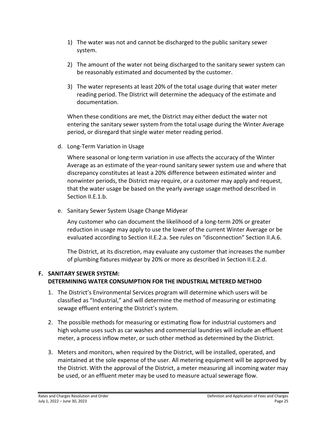- 1) The water was not and cannot be discharged to the public sanitary sewer system.
- 2) The amount of the water not being discharged to the sanitary sewer system can be reasonably estimated and documented by the customer.
- 3) The water represents at least 20% of the total usage during that water meter reading period. The District will determine the adequacy of the estimate and documentation.

When these conditions are met, the District may either deduct the water not entering the sanitary sewer system from the total usage during the Winter Average period, or disregard that single water meter reading period.

d. Long-Term Variation in Usage

Where seasonal or long-term variation in use affects the accuracy of the Winter Average as an estimate of the year-round sanitary sewer system use and where that discrepancy constitutes at least a 20% difference between estimated winter and nonwinter periods, the District may require, or a customer may apply and request, that the water usage be based on the yearly average usage method described in Section II.E.1.b.

e. Sanitary Sewer System Usage Change Midyear

Any customer who can document the likelihood of a long-term 20% or greater reduction in usage may apply to use the lower of the current Winter Average or be evaluated according to Section II.E.2.a. See rules on "disconnection" Section II.A.6.

The District, at its discretion, may evaluate any customer that increases the number of plumbing fixtures midyear by 20% or more as described in Section II.E.2.d.

# <span id="page-28-0"></span>**F. SANITARY SEWER SYSTEM: DETERMINING WATER CONSUMPTION FOR THE INDUSTRIAL METERED METHOD**

- 1. The District's Environmental Services program will determine which users will be classified as "Industrial," and will determine the method of measuring or estimating sewage effluent entering the District's system.
- 2. The possible methods for measuring or estimating flow for industrial customers and high volume uses such as car washes and commercial laundries will include an effluent meter, a process inflow meter, or such other method as determined by the District.
- 3. Meters and monitors, when required by the District, will be installed, operated, and maintained at the sole expense of the user. All metering equipment will be approved by the District. With the approval of the District, a meter measuring all incoming water may be used, or an effluent meter may be used to measure actual sewerage flow.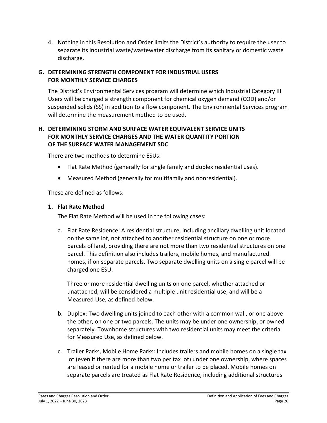4. Nothing in this Resolution and Order limits the District's authority to require the user to separate its industrial waste/wastewater discharge from its sanitary or domestic waste discharge.

# <span id="page-29-0"></span>**G. DETERMINING STRENGTH COMPONENT FOR INDUSTRIAL USERS FOR MONTHLY SERVICE CHARGES**

The District's Environmental Services program will determine which Industrial Category III Users will be charged a strength component for chemical oxygen demand (COD) and/or suspended solids (SS) in addition to a flow component. The Environmental Services program will determine the measurement method to be used.

# <span id="page-29-1"></span>**H. DETERMINING STORM AND SURFACE WATER EQUIVALENT SERVICE UNITS FOR MONTHLY SERVICE CHARGES AND THE WATER QUANTITY PORTION OF THE SURFACE WATER MANAGEMENT SDC**

There are two methods to determine ESUs:

- Flat Rate Method (generally for single family and duplex residential uses).
- Measured Method (generally for multifamily and nonresidential).

These are defined as follows:

## <span id="page-29-2"></span>**1. Flat Rate Method**

The Flat Rate Method will be used in the following cases:

a. Flat Rate Residence: A residential structure, including ancillary dwelling unit located on the same lot, not attached to another residential structure on one or more parcels of land, providing there are not more than two residential structures on one parcel. This definition also includes trailers, mobile homes, and manufactured homes, if on separate parcels. Two separate dwelling units on a single parcel will be charged one ESU.

Three or more residential dwelling units on one parcel, whether attached or unattached, will be considered a multiple unit residential use, and will be a Measured Use, as defined below.

- b. Duplex: Two dwelling units joined to each other with a common wall, or one above the other, on one or two parcels. The units may be under one ownership, or owned separately. Townhome structures with two residential units may meet the criteria for Measured Use, as defined below.
- c. Trailer Parks, Mobile Home Parks: Includes trailers and mobile homes on a single tax lot (even if there are more than two per tax lot) under one ownership, where spaces are leased or rented for a mobile home or trailer to be placed. Mobile homes on separate parcels are treated as Flat Rate Residence, including additional structures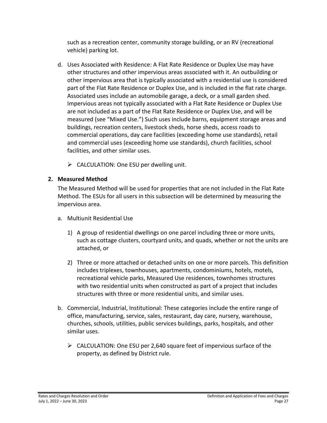such as a recreation center, community storage building, or an RV (recreational vehicle) parking lot.

- d. Uses Associated with Residence: A Flat Rate Residence or Duplex Use may have other structures and other impervious areas associated with it. An outbuilding or other impervious area that is typically associated with a residential use is considered part of the Flat Rate Residence or Duplex Use, and is included in the flat rate charge. Associated uses include an automobile garage, a deck, or a small garden shed. Impervious areas not typically associated with a Flat Rate Residence or Duplex Use are not included as a part of the Flat Rate Residence or Duplex Use, and will be measured (see "Mixed Use.") Such uses include barns, equipment storage areas and buildings, recreation centers, livestock sheds, horse sheds, access roads to commercial operations, day care facilities (exceeding home use standards), retail and commercial uses (exceeding home use standards), church facilities, school facilities, and other similar uses.
	- $\triangleright$  CALCULATION: One ESU per dwelling unit.

# <span id="page-30-0"></span>**2. Measured Method**

The Measured Method will be used for properties that are not included in the Flat Rate Method. The ESUs for all users in this subsection will be determined by measuring the impervious area.

- a. Multiunit Residential Use
	- 1) A group of residential dwellings on one parcel including three or more units, such as cottage clusters, courtyard units, and quads, whether or not the units are attached, or
	- 2) Three or more attached or detached units on one or more parcels. This definition includes triplexes, townhouses, apartments, condominiums, hotels, motels, recreational vehicle parks, Measured Use residences, townhomes structures with two residential units when constructed as part of a project that includes structures with three or more residential units, and similar uses.
- b. Commercial, Industrial, Institutional: These categories include the entire range of office, manufacturing, service, sales, restaurant, day care, nursery, warehouse, churches, schools, utilities, public services buildings, parks, hospitals, and other similar uses.
	- $\triangleright$  CALCULATION: One ESU per 2,640 square feet of impervious surface of the property, as defined by District rule.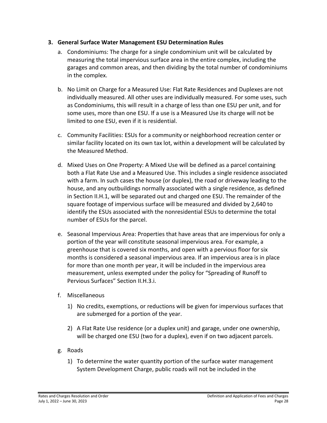#### <span id="page-31-0"></span>**3. General Surface Water Management ESU Determination Rules**

- a. Condominiums: The charge for a single condominium unit will be calculated by measuring the total impervious surface area in the entire complex, including the garages and common areas, and then dividing by the total number of condominiums in the complex.
- b. No Limit on Charge for a Measured Use: Flat Rate Residences and Duplexes are not individually measured. All other uses are individually measured. For some uses, such as Condominiums, this will result in a charge of less than one ESU per unit, and for some uses, more than one ESU. If a use is a Measured Use its charge will not be limited to one ESU, even if it is residential.
- c. Community Facilities: ESUs for a community or neighborhood recreation center or similar facility located on its own tax lot, within a development will be calculated by the Measured Method.
- d. Mixed Uses on One Property: A Mixed Use will be defined as a parcel containing both a Flat Rate Use and a Measured Use. This includes a single residence associated with a farm. In such cases the house (or duplex), the road or driveway leading to the house, and any outbuildings normally associated with a single residence, as defined in Section II.H.1, will be separated out and charged one ESU. The remainder of the square footage of impervious surface will be measured and divided by 2,640 to identify the ESUs associated with the nonresidential ESUs to determine the total number of ESUs for the parcel.
- e. Seasonal Impervious Area: Properties that have areas that are impervious for only a portion of the year will constitute seasonal impervious area. For example, a greenhouse that is covered six months, and open with a pervious floor for six months is considered a seasonal impervious area. If an impervious area is in place for more than one month per year, it will be included in the impervious area measurement, unless exempted under the policy for "Spreading of Runoff to Pervious Surfaces" Section II.H.3.i.
- f. Miscellaneous
	- 1) No credits, exemptions, or reductions will be given for impervious surfaces that are submerged for a portion of the year.
	- 2) A Flat Rate Use residence (or a duplex unit) and garage, under one ownership, will be charged one ESU (two for a duplex), even if on two adjacent parcels.
- g. Roads
	- 1) To determine the water quantity portion of the surface water management System Development Charge, public roads will not be included in the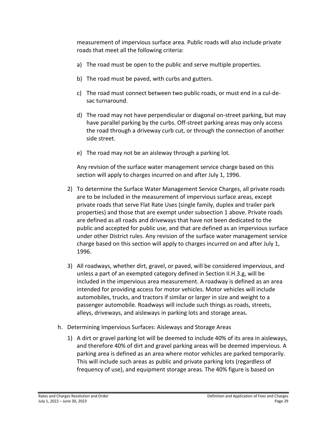measurement of impervious surface area. Public roads will also include private roads that meet all the following criteria:

- a) The road must be open to the public and serve multiple properties.
- b) The road must be paved, with curbs and gutters.
- c) The road must connect between two public roads, or must end in a cul-desac turnaround.
- d) The road may not have perpendicular or diagonal on-street parking, but may have parallel parking by the curbs. Off-street parking areas may only access the road through a driveway curb cut, or through the connection of another side street.
- e) The road may not be an aisleway through a parking lot.

Any revision of the surface water management service charge based on this section will apply to charges incurred on and after July 1, 1996.

- 2) To determine the Surface Water Management Service Charges, all private roads are to be included in the measurement of impervious surface areas, except private roads that serve Flat Rate Uses (single family, duplex and trailer park properties) and those that are exempt under subsection 1 above. Private roads are defined as all roads and driveways that have not been dedicated to the public and accepted for public use, and that are defined as an impervious surface under other District rules. Any revision of the surface water management service charge based on this section will apply to charges incurred on and after July 1, 1996.
- 3) All roadways, whether dirt, gravel, or paved, will be considered impervious, and unless a part of an exempted category defined in Section II.H.3.g, will be included in the impervious area measurement. A roadway is defined as an area intended for providing access for motor vehicles. Motor vehicles will include automobiles, trucks, and tractors if similar or larger in size and weight to a passenger automobile. Roadways will include such things as roads, streets, alleys, driveways, and aisleways in parking lots and storage areas.
- h. Determining Impervious Surfaces: Aisleways and Storage Areas
	- 1) A dirt or gravel parking lot will be deemed to include 40% of its area in aisleways, and therefore 40% of dirt and gravel parking areas will be deemed impervious. A parking area is defined as an area where motor vehicles are parked temporarily. This will include such areas as public and private parking lots (regardless of frequency of use), and equipment storage areas. The 40% figure is based on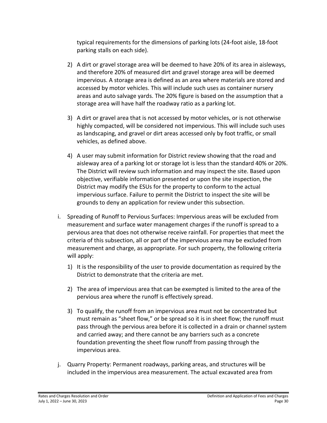typical requirements for the dimensions of parking lots (24-foot aisle, 18-foot parking stalls on each side).

- 2) A dirt or gravel storage area will be deemed to have 20% of its area in aisleways, and therefore 20% of measured dirt and gravel storage area will be deemed impervious. A storage area is defined as an area where materials are stored and accessed by motor vehicles. This will include such uses as container nursery areas and auto salvage yards. The 20% figure is based on the assumption that a storage area will have half the roadway ratio as a parking lot.
- 3) A dirt or gravel area that is not accessed by motor vehicles, or is not otherwise highly compacted, will be considered not impervious. This will include such uses as landscaping, and gravel or dirt areas accessed only by foot traffic, or small vehicles, as defined above.
- 4) A user may submit information for District review showing that the road and aisleway area of a parking lot or storage lot is less than the standard 40% or 20%. The District will review such information and may inspect the site. Based upon objective, verifiable information presented or upon the site inspection, the District may modify the ESUs for the property to conform to the actual impervious surface. Failure to permit the District to inspect the site will be grounds to deny an application for review under this subsection.
- i. Spreading of Runoff to Pervious Surfaces: Impervious areas will be excluded from measurement and surface water management charges if the runoff is spread to a pervious area that does not otherwise receive rainfall. For properties that meet the criteria of this subsection, all or part of the impervious area may be excluded from measurement and charge, as appropriate. For such property, the following criteria will apply:
	- 1) It is the responsibility of the user to provide documentation as required by the District to demonstrate that the criteria are met.
	- 2) The area of impervious area that can be exempted is limited to the area of the pervious area where the runoff is effectively spread.
	- 3) To qualify, the runoff from an impervious area must not be concentrated but must remain as "sheet flow," or be spread so it is in sheet flow; the runoff must pass through the pervious area before it is collected in a drain or channel system and carried away; and there cannot be any barriers such as a concrete foundation preventing the sheet flow runoff from passing through the impervious area.
- j. Quarry Property: Permanent roadways, parking areas, and structures will be included in the impervious area measurement. The actual excavated area from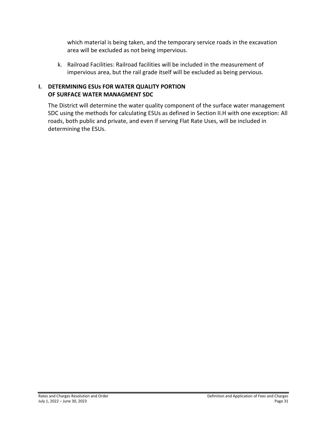which material is being taken, and the temporary service roads in the excavation area will be excluded as not being impervious.

k. Railroad Facilities: Railroad facilities will be included in the measurement of impervious area, but the rail grade itself will be excluded as being pervious.

# <span id="page-34-0"></span>**I. DETERMINING ESUs FOR WATER QUALITY PORTION OF SURFACE WATER MANAGMENT SDC**

The District will determine the water quality component of the surface water management SDC using the methods for calculating ESUs as defined in Section II.H with one exception: All roads, both public and private, and even if serving Flat Rate Uses, will be included in determining the ESUs.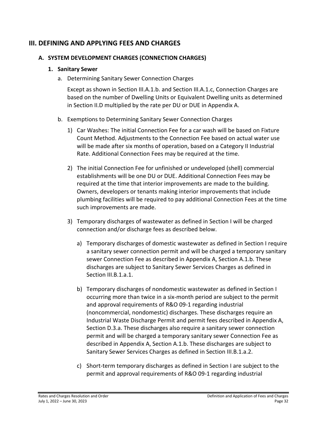# <span id="page-35-0"></span>**III. DEFINING AND APPLYING FEES AND CHARGES**

#### <span id="page-35-1"></span>**A. SYSTEM DEVELOPMENT CHARGES (CONNECTION CHARGES)**

#### <span id="page-35-2"></span>**1. Sanitary Sewer**

a. Determining Sanitary Sewer Connection Charges

Except as shown in Section III.A.1.b. and Section III.A.1.c, Connection Charges are based on the number of Dwelling Units or Equivalent Dwelling units as determined in Section II.D multiplied by the rate per DU or DUE in Appendix A.

- b. Exemptions to Determining Sanitary Sewer Connection Charges
	- 1) Car Washes: The initial Connection Fee for a car wash will be based on Fixture Count Method. Adjustments to the Connection Fee based on actual water use will be made after six months of operation, based on a Category II Industrial Rate. Additional Connection Fees may be required at the time.
	- 2) The initial Connection Fee for unfinished or undeveloped (shell) commercial establishments will be one DU or DUE. Additional Connection Fees may be required at the time that interior improvements are made to the building. Owners, developers or tenants making interior improvements that include plumbing facilities will be required to pay additional Connection Fees at the time such improvements are made.
	- 3) Temporary discharges of wastewater as defined in Section I will be charged connection and/or discharge fees as described below.
		- a) Temporary discharges of domestic wastewater as defined in Section I require a sanitary sewer connection permit and will be charged a temporary sanitary sewer Connection Fee as described in Appendix A, Section A.1.b. These discharges are subject to Sanitary Sewer Services Charges as defined in Section III.B.1.a.1.
		- b) Temporary discharges of nondomestic wastewater as defined in Section I occurring more than twice in a six-month period are subject to the permit and approval requirements of R&O 09-1 regarding industrial (noncommercial, nondomestic) discharges. These discharges require an Industrial Waste Discharge Permit and permit fees described in Appendix A, Section D.3.a. These discharges also require a sanitary sewer connection permit and will be charged a temporary sanitary sewer Connection Fee as described in Appendix A, Section A.1.b. These discharges are subject to Sanitary Sewer Services Charges as defined in Section III.B.1.a.2.
		- c) Short-term temporary discharges as defined in Section I are subject to the permit and approval requirements of R&O 09-1 regarding industrial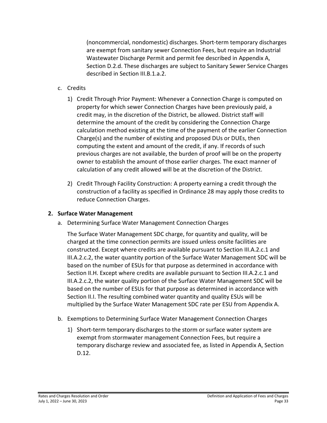(noncommercial, nondomestic) discharges. Short-term temporary discharges are exempt from sanitary sewer Connection Fees, but require an Industrial Wastewater Discharge Permit and permit fee described in Appendix A, Section D.2.d. These discharges are subject to Sanitary Sewer Service Charges described in Section III.B.1.a.2.

- c. Credits
	- 1) Credit Through Prior Payment: Whenever a Connection Charge is computed on property for which sewer Connection Charges have been previously paid, a credit may, in the discretion of the District, be allowed. District staff will determine the amount of the credit by considering the Connection Charge calculation method existing at the time of the payment of the earlier Connection Charge(s) and the number of existing and proposed DUs or DUEs, then computing the extent and amount of the credit, if any. If records of such previous charges are not available, the burden of proof will be on the property owner to establish the amount of those earlier charges. The exact manner of calculation of any credit allowed will be at the discretion of the District.
	- 2) Credit Through Facility Construction: A property earning a credit through the construction of a facility as specified in Ordinance 28 may apply those credits to reduce Connection Charges.

#### <span id="page-36-0"></span>**2. Surface Water Management**

a. Determining Surface Water Management Connection Charges

The Surface Water Management SDC charge, for quantity and quality, will be charged at the time connection permits are issued unless onsite facilities are constructed. Except where credits are available pursuant to Section III.A.2.c.1 and III.A.2.c.2, the water quantity portion of the Surface Water Management SDC will be based on the number of ESUs for that purpose as determined in accordance with Section II.H. Except where credits are available pursuant to Section III.A.2.c.1 and III.A.2.c.2, the water quality portion of the Surface Water Management SDC will be based on the number of ESUs for that purpose as determined in accordance with Section II.I. The resulting combined water quantity and quality ESUs will be multiplied by the Surface Water Management SDC rate per ESU from Appendix A.

- b. Exemptions to Determining Surface Water Management Connection Charges
	- 1) Short-term temporary discharges to the storm or surface water system are exempt from stormwater management Connection Fees, but require a temporary discharge review and associated fee, as listed in Appendix A, Section D.12.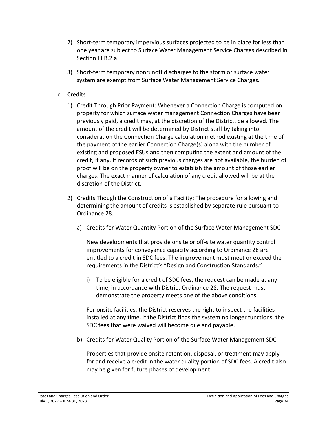- 2) Short-term temporary impervious surfaces projected to be in place for less than one year are subject to Surface Water Management Service Charges described in Section III.B.2.a.
- 3) Short-term temporary nonrunoff discharges to the storm or surface water system are exempt from Surface Water Management Service Charges.
- c. Credits
	- 1) Credit Through Prior Payment: Whenever a Connection Charge is computed on property for which surface water management Connection Charges have been previously paid, a credit may, at the discretion of the District, be allowed. The amount of the credit will be determined by District staff by taking into consideration the Connection Charge calculation method existing at the time of the payment of the earlier Connection Charge(s) along with the number of existing and proposed ESUs and then computing the extent and amount of the credit, it any. If records of such previous charges are not available, the burden of proof will be on the property owner to establish the amount of those earlier charges. The exact manner of calculation of any credit allowed will be at the discretion of the District.
	- 2) Credits Though the Construction of a Facility: The procedure for allowing and determining the amount of credits is established by separate rule pursuant to Ordinance 28.
		- a) Credits for Water Quantity Portion of the Surface Water Management SDC

New developments that provide onsite or off-site water quantity control improvements for conveyance capacity according to Ordinance 28 are entitled to a credit in SDC fees. The improvement must meet or exceed the requirements in the District's "Design and Construction Standards."

i) To be eligible for a credit of SDC fees, the request can be made at any time, in accordance with District Ordinance 28. The request must demonstrate the property meets one of the above conditions.

For onsite facilities, the District reserves the right to inspect the facilities installed at any time. If the District finds the system no longer functions, the SDC fees that were waived will become due and payable.

b) Credits for Water Quality Portion of the Surface Water Management SDC

Properties that provide onsite retention, disposal, or treatment may apply for and receive a credit in the water quality portion of SDC fees. A credit also may be given for future phases of development.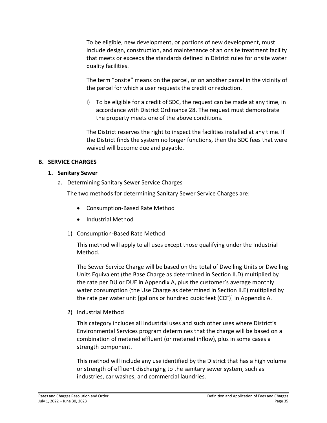To be eligible, new development, or portions of new development, must include design, construction, and maintenance of an onsite treatment facility that meets or exceeds the standards defined in District rules for onsite water quality facilities.

The term "onsite" means on the parcel, or on another parcel in the vicinity of the parcel for which a user requests the credit or reduction.

i) To be eligible for a credit of SDC, the request can be made at any time, in accordance with District Ordinance 28. The request must demonstrate the property meets one of the above conditions.

The District reserves the right to inspect the facilities installed at any time. If the District finds the system no longer functions, then the SDC fees that were waived will become due and payable.

#### <span id="page-38-0"></span>**B. SERVICE CHARGES**

#### <span id="page-38-1"></span>**1. Sanitary Sewer**

a. Determining Sanitary Sewer Service Charges

The two methods for determining Sanitary Sewer Service Charges are:

- Consumption-Based Rate Method
- Industrial Method
- 1) Consumption-Based Rate Method

This method will apply to all uses except those qualifying under the Industrial Method.

The Sewer Service Charge will be based on the total of Dwelling Units or Dwelling Units Equivalent (the Base Charge as determined in Section II.D) multiplied by the rate per DU or DUE in Appendix A, plus the customer's average monthly water consumption (the Use Charge as determined in Section II.E) multiplied by the rate per water unit [gallons or hundred cubic feet (CCF)] in Appendix A.

2) Industrial Method

This category includes all industrial uses and such other uses where District's Environmental Services program determines that the charge will be based on a combination of metered effluent (or metered inflow), plus in some cases a strength component.

This method will include any use identified by the District that has a high volume or strength of effluent discharging to the sanitary sewer system, such as industries, car washes, and commercial laundries.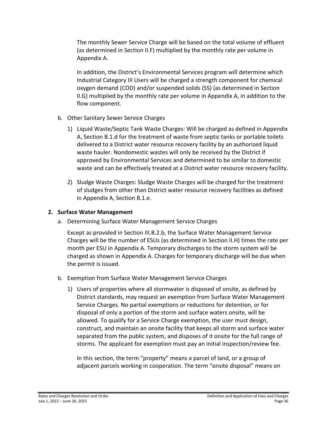The monthly Sewer Service Charge will be based on the total volume of effluent (as determined in Section II.F) multiplied by the monthly rate per volume in Appendix A.

In addition, the District's Environmental Services program will determine which Industrial Category III Users will be charged a strength component for chemical oxygen demand (COD) and/or suspended solids (SS) (as determined in Section II.G) multiplied by the monthly rate per volume in Appendix A, in addition to the flow component.

- b. Other Sanitary Sewer Service Charges
	- 1) Liquid Waste/Septic Tank Waste Charges: Will be charged as defined in Appendix A, Section B.1.d for the treatment of waste from septic tanks or portable toilets delivered to a District water resource recovery facility by an authorized liquid waste hauler. Nondomestic wastes will only be received by the District if approved by Environmental Services and determined to be similar to domestic waste and can be effectively treated at a District water resource recovery facility.
	- 2) Sludge Waste Charges: Sludge Waste Charges will be charged for the treatment of sludges from other than District water resource recovery facilities as defined in Appendix A, Section B.1.e.

# <span id="page-39-0"></span>**2. Surface Water Management**

a. Determining Surface Water Management Service Charges

Except as provided in Section III.B.2.b, the Surface Water Management Service Charges will be the number of ESUs (as determined in Section II.H) times the rate per month per ESU in Appendix A. Temporary discharges to the storm system will be charged as shown in Appendix A. Charges for temporary discharge will be due when the permit is issued.

- b. Exemption from Surface Water Management Service Charges
	- 1) Users of properties where all stormwater is disposed of onsite, as defined by District standards, may request an exemption from Surface Water Management Service Charges. No partial exemptions or reductions for detention, or for disposal of only a portion of the storm and surface waters onsite, will be allowed. To qualify for a Service Charge exemption, the user must design, construct, and maintain an onsite facility that keeps all storm and surface water separated from the public system, and disposes of it onsite for the full range of storms. The applicant for exemption must pay an initial inspection/review fee.

In this section, the term "property" means a parcel of land, or a group of adjacent parcels working in cooperation. The term "onsite disposal" means on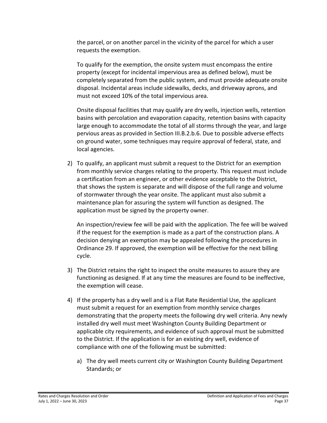the parcel, or on another parcel in the vicinity of the parcel for which a user requests the exemption.

To qualify for the exemption, the onsite system must encompass the entire property (except for incidental impervious area as defined below), must be completely separated from the public system, and must provide adequate onsite disposal. Incidental areas include sidewalks, decks, and driveway aprons, and must not exceed 10% of the total impervious area.

Onsite disposal facilities that may qualify are dry wells, injection wells, retention basins with percolation and evaporation capacity, retention basins with capacity large enough to accommodate the total of all storms through the year, and large pervious areas as provided in Section III.B.2.b.6. Due to possible adverse effects on ground water, some techniques may require approval of federal, state, and local agencies.

2) To qualify, an applicant must submit a request to the District for an exemption from monthly service charges relating to the property. This request must include a certification from an engineer, or other evidence acceptable to the District, that shows the system is separate and will dispose of the full range and volume of stormwater through the year onsite. The applicant must also submit a maintenance plan for assuring the system will function as designed. The application must be signed by the property owner.

An inspection/review fee will be paid with the application. The fee will be waived if the request for the exemption is made as a part of the construction plans. A decision denying an exemption may be appealed following the procedures in Ordinance 29. If approved, the exemption will be effective for the next billing cycle.

- 3) The District retains the right to inspect the onsite measures to assure they are functioning as designed. If at any time the measures are found to be ineffective, the exemption will cease.
- 4) If the property has a dry well and is a Flat Rate Residential Use, the applicant must submit a request for an exemption from monthly service charges demonstrating that the property meets the following dry well criteria. Any newly installed dry well must meet Washington County Building Department or applicable city requirements, and evidence of such approval must be submitted to the District. If the application is for an existing dry well, evidence of compliance with one of the following must be submitted:
	- a) The dry well meets current city or Washington County Building Department Standards; or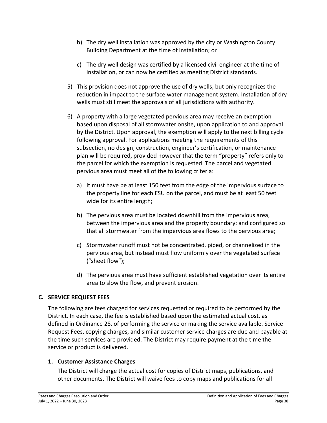- b) The dry well installation was approved by the city or Washington County Building Department at the time of installation; or
- c) The dry well design was certified by a licensed civil engineer at the time of installation, or can now be certified as meeting District standards.
- 5) This provision does not approve the use of dry wells, but only recognizes the reduction in impact to the surface water management system. Installation of dry wells must still meet the approvals of all jurisdictions with authority.
- 6) A property with a large vegetated pervious area may receive an exemption based upon disposal of all stormwater onsite, upon application to and approval by the District. Upon approval, the exemption will apply to the next billing cycle following approval. For applications meeting the requirements of this subsection, no design, construction, engineer's certification, or maintenance plan will be required, provided however that the term "property" refers only to the parcel for which the exemption is requested. The parcel and vegetated pervious area must meet all of the following criteria:
	- a) It must have be at least 150 feet from the edge of the impervious surface to the property line for each ESU on the parcel, and must be at least 50 feet wide for its entire length;
	- b) The pervious area must be located downhill from the impervious area, between the impervious area and the property boundary; and configured so that all stormwater from the impervious area flows to the pervious area;
	- c) Stormwater runoff must not be concentrated, piped, or channelized in the pervious area, but instead must flow uniformly over the vegetated surface ("sheet flow");
	- d) The pervious area must have sufficient established vegetation over its entire area to slow the flow, and prevent erosion.

# <span id="page-41-0"></span>**C. SERVICE REQUEST FEES**

The following are fees charged for services requested or required to be performed by the District. In each case, the fee is established based upon the estimated actual cost, as defined in Ordinance 28, of performing the service or making the service available. Service Request Fees, copying charges, and similar customer service charges are due and payable at the time such services are provided. The District may require payment at the time the service or product is delivered.

#### <span id="page-41-1"></span>**1. Customer Assistance Charges**

The District will charge the actual cost for copies of District maps, publications, and other documents. The District will waive fees to copy maps and publications for all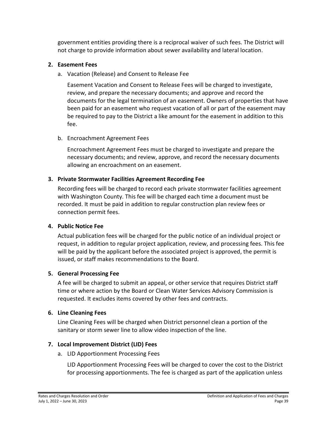government entities providing there is a reciprocal waiver of such fees. The District will not charge to provide information about sewer availability and lateral location.

## <span id="page-42-0"></span>**2. Easement Fees**

a. Vacation (Release) and Consent to Release Fee

Easement Vacation and Consent to Release Fees will be charged to investigate, review, and prepare the necessary documents; and approve and record the documents for the legal termination of an easement. Owners of properties that have been paid for an easement who request vacation of all or part of the easement may be required to pay to the District a like amount for the easement in addition to this fee.

b. Encroachment Agreement Fees

Encroachment Agreement Fees must be charged to investigate and prepare the necessary documents; and review, approve, and record the necessary documents allowing an encroachment on an easement.

# <span id="page-42-1"></span>**3. Private Stormwater Facilities Agreement Recording Fee**

Recording fees will be charged to record each private stormwater facilities agreement with Washington County. This fee will be charged each time a document must be recorded. It must be paid in addition to regular construction plan review fees or connection permit fees.

#### <span id="page-42-2"></span>**4. Public Notice Fee**

Actual publication fees will be charged for the public notice of an individual project or request, in addition to regular project application, review, and processing fees. This fee will be paid by the applicant before the associated project is approved, the permit is issued, or staff makes recommendations to the Board.

#### <span id="page-42-3"></span>**5. General Processing Fee**

A fee will be charged to submit an appeal, or other service that requires District staff time or where action by the Board or Clean Water Services Advisory Commission is requested. It excludes items covered by other fees and contracts.

#### <span id="page-42-4"></span>**6. Line Cleaning Fees**

Line Cleaning Fees will be charged when District personnel clean a portion of the sanitary or storm sewer line to allow video inspection of the line.

# <span id="page-42-5"></span>**7. Local Improvement District (LID) Fees**

a. LID Apportionment Processing Fees

LID Apportionment Processing Fees will be charged to cover the cost to the District for processing apportionments. The fee is charged as part of the application unless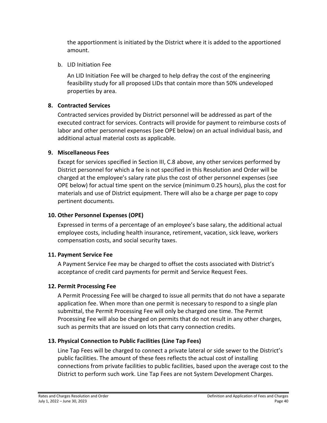the apportionment is initiated by the District where it is added to the apportioned amount.

b. LID Initiation Fee

An LID Initiation Fee will be charged to help defray the cost of the engineering feasibility study for all proposed LIDs that contain more than 50% undeveloped properties by area.

# <span id="page-43-0"></span>**8. Contracted Services**

Contracted services provided by District personnel will be addressed as part of the executed contract for services. Contracts will provide for payment to reimburse costs of labor and other personnel expenses (see OPE below) on an actual individual basis, and additional actual material costs as applicable.

## <span id="page-43-1"></span>**9. Miscellaneous Fees**

Except for services specified in Section III, C.8 above, any other services performed by District personnel for which a fee is not specified in this Resolution and Order will be charged at the employee's salary rate plus the cost of other personnel expenses (see OPE below) for actual time spent on the service (minimum 0.25 hours), plus the cost for materials and use of District equipment. There will also be a charge per page to copy pertinent documents.

# <span id="page-43-2"></span>**10. Other Personnel Expenses (OPE)**

Expressed in terms of a percentage of an employee's base salary, the additional actual employee costs, including health insurance, retirement, vacation, sick leave, workers compensation costs, and social security taxes.

#### <span id="page-43-3"></span>**11. Payment Service Fee**

A Payment Service Fee may be charged to offset the costs associated with District's acceptance of credit card payments for permit and Service Request Fees.

# <span id="page-43-4"></span>**12. Permit Processing Fee**

A Permit Processing Fee will be charged to issue all permits that do not have a separate application fee. When more than one permit is necessary to respond to a single plan submittal, the Permit Processing Fee will only be charged one time. The Permit Processing Fee will also be charged on permits that do not result in any other charges, such as permits that are issued on lots that carry connection credits.

# <span id="page-43-5"></span>**13. Physical Connection to Public Facilities (Line Tap Fees)**

Line Tap Fees will be charged to connect a private lateral or side sewer to the District's public facilities. The amount of these fees reflects the actual cost of installing connections from private facilities to public facilities, based upon the average cost to the District to perform such work. Line Tap Fees are not System Development Charges.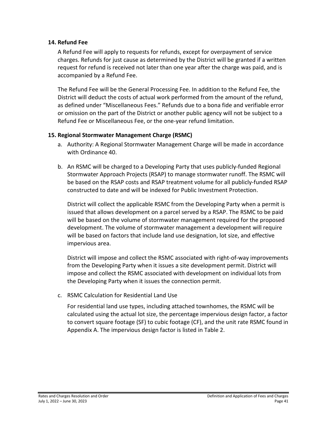#### <span id="page-44-0"></span>**14. Refund Fee**

A Refund Fee will apply to requests for refunds, except for overpayment of service charges. Refunds for just cause as determined by the District will be granted if a written request for refund is received not later than one year after the charge was paid, and is accompanied by a Refund Fee.

The Refund Fee will be the General Processing Fee. In addition to the Refund Fee, the District will deduct the costs of actual work performed from the amount of the refund, as defined under "Miscellaneous Fees." Refunds due to a bona fide and verifiable error or omission on the part of the District or another public agency will not be subject to a Refund Fee or Miscellaneous Fee, or the one-year refund limitation.

#### <span id="page-44-1"></span>**15. Regional Stormwater Management Charge (RSMC)**

- a. Authority: A Regional Stormwater Management Charge will be made in accordance with Ordinance 40.
- b. An RSMC will be charged to a Developing Party that uses publicly-funded Regional Stormwater Approach Projects (RSAP) to manage stormwater runoff. The RSMC will be based on the RSAP costs and RSAP treatment volume for all publicly-funded RSAP constructed to date and will be indexed for Public Investment Protection.

District will collect the applicable RSMC from the Developing Party when a permit is issued that allows development on a parcel served by a RSAP. The RSMC to be paid will be based on the volume of stormwater management required for the proposed development. The volume of stormwater management a development will require will be based on factors that include land use designation, lot size, and effective impervious area.

District will impose and collect the RSMC associated with right-of-way improvements from the Developing Party when it issues a site development permit. District will impose and collect the RSMC associated with development on individual lots from the Developing Party when it issues the connection permit.

c. RSMC Calculation for Residential Land Use

For residential land use types, including attached townhomes, the RSMC will be calculated using the actual lot size, the percentage impervious design factor, a factor to convert square footage (SF) to cubic footage (CF), and the unit rate RSMC found in Appendix A. The impervious design factor is listed in Table 2.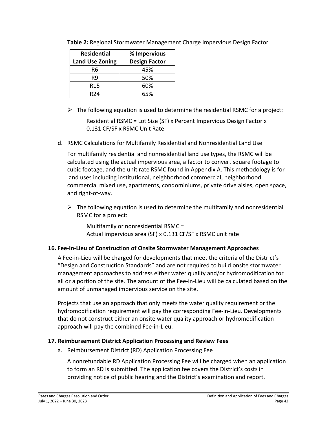| <b>Residential</b>     | % Impervious         |  |
|------------------------|----------------------|--|
| <b>Land Use Zoning</b> | <b>Design Factor</b> |  |
| R6                     | 45%                  |  |
| R9                     | 50%                  |  |
| R15                    | 60%                  |  |
| R24                    | 65%                  |  |

**Table 2:** Regional Stormwater Management Charge Impervious Design Factor

 $\triangleright$  The following equation is used to determine the residential RSMC for a project:

Residential RSMC = Lot Size (SF) x Percent Impervious Design Factor x 0.131 CF/SF x RSMC Unit Rate

d. RSMC Calculations for Multifamily Residential and Nonresidential Land Use

For multifamily residential and nonresidential land use types, the RSMC will be calculated using the actual impervious area, a factor to convert square footage to cubic footage, and the unit rate RSMC found in Appendix A. This methodology is for land uses including institutional, neighborhood commercial, neighborhood commercial mixed use, apartments, condominiums, private drive aisles, open space, and right-of-way.

 $\triangleright$  The following equation is used to determine the multifamily and nonresidential RSMC for a project:

Multifamily or nonresidential RSMC = Actual impervious area (SF) x 0.131 CF/SF x RSMC unit rate

# <span id="page-45-0"></span>**16. Fee-In-Lieu of Construction of Onsite Stormwater Management Approaches**

A Fee-in-Lieu will be charged for developments that meet the criteria of the District's "Design and Construction Standards" and are not required to build onsite stormwater management approaches to address either water quality and/or hydromodification for all or a portion of the site. The amount of the Fee-in-Lieu will be calculated based on the amount of unmanaged impervious service on the site.

Projects that use an approach that only meets the water quality requirement or the hydromodification requirement will pay the corresponding Fee-in-Lieu. Developments that do not construct either an onsite water quality approach or hydromodification approach will pay the combined Fee-in-Lieu.

# <span id="page-45-1"></span>**17. Reimbursement District Application Processing and Review Fees**

a. Reimbursement District (RD) Application Processing Fee

A nonrefundable RD Application Processing Fee will be charged when an application to form an RD is submitted. The application fee covers the District's costs in providing notice of public hearing and the District's examination and report.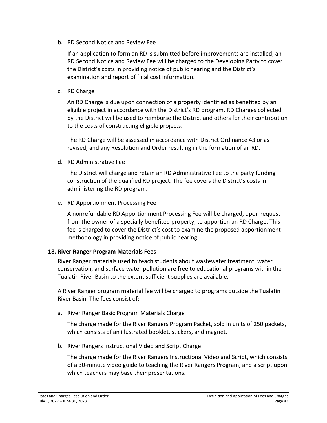b. RD Second Notice and Review Fee

If an application to form an RD is submitted before improvements are installed, an RD Second Notice and Review Fee will be charged to the Developing Party to cover the District's costs in providing notice of public hearing and the District's examination and report of final cost information.

c. RD Charge

An RD Charge is due upon connection of a property identified as benefited by an eligible project in accordance with the District's RD program. RD Charges collected by the District will be used to reimburse the District and others for their contribution to the costs of constructing eligible projects.

The RD Charge will be assessed in accordance with District Ordinance 43 or as revised, and any Resolution and Order resulting in the formation of an RD.

d. RD Administrative Fee

The District will charge and retain an RD Administrative Fee to the party funding construction of the qualified RD project. The fee covers the District's costs in administering the RD program.

e. RD Apportionment Processing Fee

A nonrefundable RD Apportionment Processing Fee will be charged, upon request from the owner of a specially benefited property, to apportion an RD Charge. This fee is charged to cover the District's cost to examine the proposed apportionment methodology in providing notice of public hearing.

#### <span id="page-46-0"></span>**18. River Ranger Program Materials Fees**

River Ranger materials used to teach students about wastewater treatment, water conservation, and surface water pollution are free to educational programs within the Tualatin River Basin to the extent sufficient supplies are available.

A River Ranger program material fee will be charged to programs outside the Tualatin River Basin. The fees consist of:

a. River Ranger Basic Program Materials Charge

The charge made for the River Rangers Program Packet, sold in units of 250 packets, which consists of an illustrated booklet, stickers, and magnet.

b. River Rangers Instructional Video and Script Charge

The charge made for the River Rangers Instructional Video and Script, which consists of a 30-minute video guide to teaching the River Rangers Program, and a script upon which teachers may base their presentations.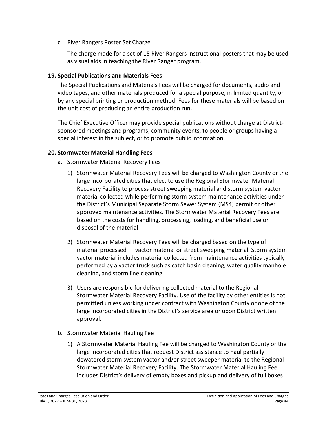c. River Rangers Poster Set Charge

The charge made for a set of 15 River Rangers instructional posters that may be used as visual aids in teaching the River Ranger program.

#### <span id="page-47-0"></span>**19. Special Publications and Materials Fees**

The Special Publications and Materials Fees will be charged for documents, audio and video tapes, and other materials produced for a special purpose, in limited quantity, or by any special printing or production method. Fees for these materials will be based on the unit cost of producing an entire production run.

The Chief Executive Officer may provide special publications without charge at Districtsponsored meetings and programs, community events, to people or groups having a special interest in the subject, or to promote public information.

## <span id="page-47-1"></span>**20. Stormwater Material Handling Fees**

- a. Stormwater Material Recovery Fees
	- 1) Stormwater Material Recovery Fees will be charged to Washington County or the large incorporated cities that elect to use the Regional Stormwater Material Recovery Facility to process street sweeping material and storm system vactor material collected while performing storm system maintenance activities under the District's Municipal Separate Storm Sewer System (MS4) permit or other approved maintenance activities. The Stormwater Material Recovery Fees are based on the costs for handling, processing, loading, and beneficial use or disposal of the material
	- 2) Stormwater Material Recovery Fees will be charged based on the type of material processed — vactor material or street sweeping material. Storm system vactor material includes material collected from maintenance activities typically performed by a vactor truck such as catch basin cleaning, water quality manhole cleaning, and storm line cleaning.
	- 3) Users are responsible for delivering collected material to the Regional Stormwater Material Recovery Facility. Use of the facility by other entities is not permitted unless working under contract with Washington County or one of the large incorporated cities in the District's service area or upon District written approval.
- b. Stormwater Material Hauling Fee
	- 1) A Stormwater Material Hauling Fee will be charged to Washington County or the large incorporated cities that request District assistance to haul partially dewatered storm system vactor and/or street sweeper material to the Regional Stormwater Material Recovery Facility. The Stormwater Material Hauling Fee includes District's delivery of empty boxes and pickup and delivery of full boxes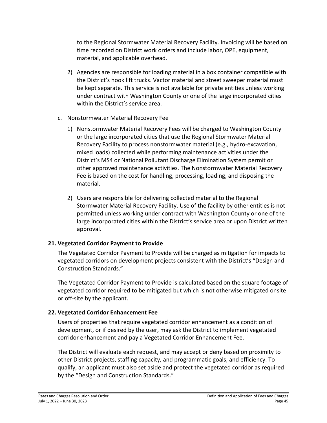to the Regional Stormwater Material Recovery Facility. Invoicing will be based on time recorded on District work orders and include labor, OPE, equipment, material, and applicable overhead.

- 2) Agencies are responsible for loading material in a box container compatible with the District's hook lift trucks. Vactor material and street sweeper material must be kept separate. This service is not available for private entities unless working under contract with Washington County or one of the large incorporated cities within the District's service area.
- c. Nonstormwater Material Recovery Fee
	- 1) Nonstormwater Material Recovery Fees will be charged to Washington County or the large incorporated cities that use the Regional Stormwater Material Recovery Facility to process nonstormwater material (e.g., hydro-excavation, mixed loads) collected while performing maintenance activities under the District's MS4 or National Pollutant Discharge Elimination System permit or other approved maintenance activities. The Nonstormwater Material Recovery Fee is based on the cost for handling, processing, loading, and disposing the material.
	- 2) Users are responsible for delivering collected material to the Regional Stormwater Material Recovery Facility. Use of the facility by other entities is not permitted unless working under contract with Washington County or one of the large incorporated cities within the District's service area or upon District written approval.

# <span id="page-48-0"></span>**21. Vegetated Corridor Payment to Provide**

The Vegetated Corridor Payment to Provide will be charged as mitigation for impacts to vegetated corridors on development projects consistent with the District's "Design and Construction Standards."

The Vegetated Corridor Payment to Provide is calculated based on the square footage of vegetated corridor required to be mitigated but which is not otherwise mitigated onsite or off-site by the applicant.

# <span id="page-48-1"></span>**22. Vegetated Corridor Enhancement Fee**

Users of properties that require vegetated corridor enhancement as a condition of development, or if desired by the user, may ask the District to implement vegetated corridor enhancement and pay a Vegetated Corridor Enhancement Fee.

The District will evaluate each request, and may accept or deny based on proximity to other District projects, staffing capacity, and programmatic goals, and efficiency. To qualify, an applicant must also set aside and protect the vegetated corridor as required by the "Design and Construction Standards."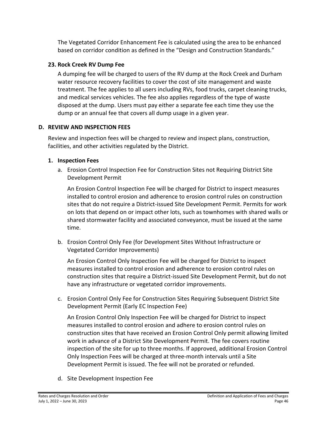The Vegetated Corridor Enhancement Fee is calculated using the area to be enhanced based on corridor condition as defined in the "Design and Construction Standards."

## <span id="page-49-0"></span>**23. Rock Creek RV Dump Fee**

A dumping fee will be charged to users of the RV dump at the Rock Creek and Durham water resource recovery facilities to cover the cost of site management and waste treatment. The fee applies to all users including RVs, food trucks, carpet cleaning trucks, and medical services vehicles. The fee also applies regardless of the type of waste disposed at the dump. Users must pay either a separate fee each time they use the dump or an annual fee that covers all dump usage in a given year.

# <span id="page-49-1"></span>**D. REVIEW AND INSPECTION FEES**

Review and inspection fees will be charged to review and inspect plans, construction, facilities, and other activities regulated by the District.

## <span id="page-49-2"></span>**1. Inspection Fees**

a. Erosion Control Inspection Fee for Construction Sites not Requiring District Site Development Permit

An Erosion Control Inspection Fee will be charged for District to inspect measures installed to control erosion and adherence to erosion control rules on construction sites that do not require a District-issued Site Development Permit. Permits for work on lots that depend on or impact other lots, such as townhomes with shared walls or shared stormwater facility and associated conveyance, must be issued at the same time.

b. Erosion Control Only Fee (for Development Sites Without Infrastructure or Vegetated Corridor Improvements)

An Erosion Control Only Inspection Fee will be charged for District to inspect measures installed to control erosion and adherence to erosion control rules on construction sites that require a District-issued Site Development Permit, but do not have any infrastructure or vegetated corridor improvements.

c. Erosion Control Only Fee for Construction Sites Requiring Subsequent District Site Development Permit (Early EC Inspection Fee)

An Erosion Control Only Inspection Fee will be charged for District to inspect measures installed to control erosion and adhere to erosion control rules on construction sites that have received an Erosion Control Only permit allowing limited work in advance of a District Site Development Permit. The fee covers routine inspection of the site for up to three months. If approved, additional Erosion Control Only Inspection Fees will be charged at three-month intervals until a Site Development Permit is issued. The fee will not be prorated or refunded.

d. Site Development Inspection Fee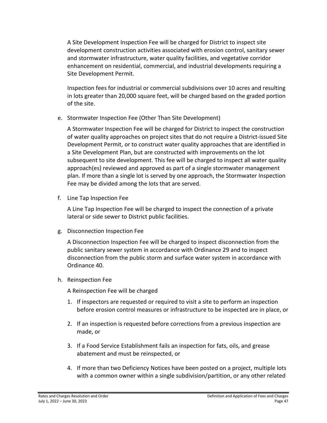A Site Development Inspection Fee will be charged for District to inspect site development construction activities associated with erosion control, sanitary sewer and stormwater infrastructure, water quality facilities, and vegetative corridor enhancement on residential, commercial, and industrial developments requiring a Site Development Permit.

Inspection fees for industrial or commercial subdivisions over 10 acres and resulting in lots greater than 20,000 square feet, will be charged based on the graded portion of the site.

e. Stormwater Inspection Fee (Other Than Site Development)

A Stormwater Inspection Fee will be charged for District to inspect the construction of water quality approaches on project sites that do not require a District-issued Site Development Permit, or to construct water quality approaches that are identified in a Site Development Plan, but are constructed with improvements on the lot subsequent to site development. This fee will be charged to inspect all water quality approach(es) reviewed and approved as part of a single stormwater management plan. If more than a single lot is served by one approach, the Stormwater Inspection Fee may be divided among the lots that are served.

f. Line Tap Inspection Fee

A Line Tap Inspection Fee will be charged to inspect the connection of a private lateral or side sewer to District public facilities.

g. Disconnection Inspection Fee

A Disconnection Inspection Fee will be charged to inspect disconnection from the public sanitary sewer system in accordance with Ordinance 29 and to inspect disconnection from the public storm and surface water system in accordance with Ordinance 40.

h. Reinspection Fee

A Reinspection Fee will be charged

- 1. If inspectors are requested or required to visit a site to perform an inspection before erosion control measures or infrastructure to be inspected are in place, or
- 2. If an inspection is requested before corrections from a previous inspection are made, or
- 3. If a Food Service Establishment fails an inspection for fats, oils, and grease abatement and must be reinspected, or
- 4. If more than two Deficiency Notices have been posted on a project, multiple lots with a common owner within a single subdivision/partition, or any other related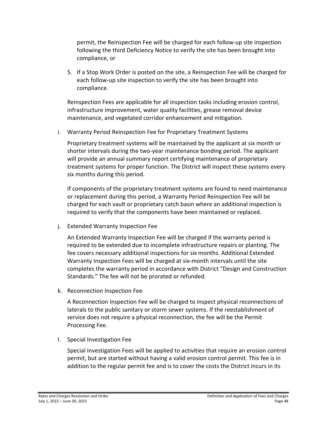permit, the Reinspection Fee will be charged for each follow-up site inspection following the third Deficiency Notice to verify the site has been brought into compliance, or

5. If a Stop Work Order is posted on the site, a Reinspection Fee will be charged for each follow-up site inspection to verify the site has been brought into compliance.

Reinspection Fees are applicable for all inspection tasks including erosion control, infrastructure improvement, water quality facilities, grease removal device maintenance, and vegetated corridor enhancement and mitigation.

i. Warranty Period Reinspection Fee for Proprietary Treatment Systems

Proprietary treatment systems will be maintained by the applicant at six month or shorter intervals during the two-year maintenance bonding period. The applicant will provide an annual summary report certifying maintenance of proprietary treatment systems for proper function. The District will inspect these systems every six months during this period.

If components of the proprietary treatment systems are found to need maintenance or replacement during this period, a Warranty Period Reinspection Fee will be charged for each vault or proprietary catch basin where an additional inspection is required to verify that the components have been maintained or replaced.

j. Extended Warranty Inspection Fee

An Extended Warranty Inspection Fee will be charged if the warranty period is required to be extended due to incomplete infrastructure repairs or planting. The fee covers necessary additional inspections for six months. Additional Extended Warranty Inspection Fees will be charged at six-month intervals until the site completes the warranty period in accordance with District "Design and Construction Standards." The fee will not be prorated or refunded.

k. Reconnection Inspection Fee

A Reconnection Inspection Fee will be charged to inspect physical reconnections of laterals to the public sanitary or storm sewer systems. If the reestablishment of service does not require a physical reconnection, the fee will be the Permit Processing Fee.

l. Special Investigation Fee

Special Investigation Fees will be applied to activities that require an erosion control permit, but are started without having a valid erosion control permit. This fee is in addition to the regular permit fee and is to cover the costs the District incurs in its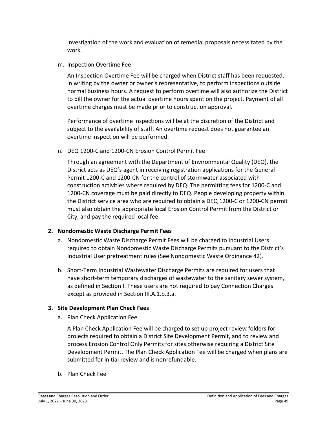investigation of the work and evaluation of remedial proposals necessitated by the work.

m. Inspection Overtime Fee

An Inspection Overtime Fee will be charged when District staff has been requested, in writing by the owner or owner's representative, to perform inspections outside normal business hours. A request to perform overtime will also authorize the District to bill the owner for the actual overtime hours spent on the project. Payment of all overtime charges must be made prior to construction approval.

Performance of overtime inspections will be at the discretion of the District and subject to the availability of staff. An overtime request does not guarantee an overtime inspection will be performed.

n. DEQ 1200-C and 1200-CN Erosion Control Permit Fee

Through an agreement with the Department of Environmental Quality (DEQ), the District acts as DEQ's agent in receiving registration applications for the General Permit 1200-C and 1200-CN for the control of stormwater associated with construction activities where required by DEQ. The permitting fees for 1200-C and 1200-CN coverage must be paid directly to DEQ. People developing property within the District service area who are required to obtain a DEQ 1200-C or 1200-CN permit must also obtain the appropriate local Erosion Control Permit from the District or City, and pay the required local fee.

# <span id="page-52-0"></span>**2. Nondomestic Waste Discharge Permit Fees**

- a. Nondomestic Waste Discharge Permit Fees will be charged to Industrial Users required to obtain Nondomestic Waste Discharge Permits pursuant to the District's Industrial User pretreatment rules (See Nondomestic Waste Ordinance 42).
- b. Short-Term Industrial Wastewater Discharge Permits are required for users that have short-term temporary discharges of wastewater to the sanitary sewer system, as defined in Section I. These users are not required to pay Connection Charges except as provided in Section III.A.1.b.3.a.

# <span id="page-52-1"></span>**3. Site Development Plan Check Fees**

a. Plan Check Application Fee

A Plan Check Application Fee will be charged to set up project review folders for projects required to obtain a District Site Development Permit, and to review and process Erosion Control Only Permits for sites otherwise requiring a District Site Development Permit. The Plan Check Application Fee will be charged when plans are submitted for initial review and is nonrefundable.

b. Plan Check Fee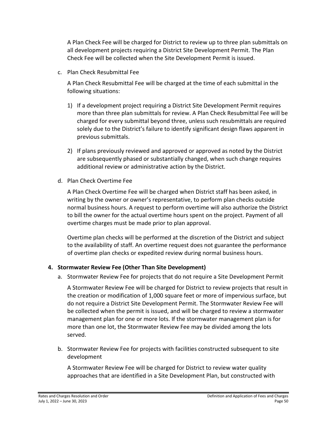A Plan Check Fee will be charged for District to review up to three plan submittals on all development projects requiring a District Site Development Permit. The Plan Check Fee will be collected when the Site Development Permit is issued.

c. Plan Check Resubmittal Fee

A Plan Check Resubmittal Fee will be charged at the time of each submittal in the following situations:

- 1) If a development project requiring a District Site Development Permit requires more than three plan submittals for review. A Plan Check Resubmittal Fee will be charged for every submittal beyond three, unless such resubmittals are required solely due to the District's failure to identify significant design flaws apparent in previous submittals.
- 2) If plans previously reviewed and approved or approved as noted by the District are subsequently phased or substantially changed, when such change requires additional review or administrative action by the District.
- d. Plan Check Overtime Fee

A Plan Check Overtime Fee will be charged when District staff has been asked, in writing by the owner or owner's representative, to perform plan checks outside normal business hours. A request to perform overtime will also authorize the District to bill the owner for the actual overtime hours spent on the project. Payment of all overtime charges must be made prior to plan approval.

Overtime plan checks will be performed at the discretion of the District and subject to the availability of staff. An overtime request does not guarantee the performance of overtime plan checks or expedited review during normal business hours.

# <span id="page-53-0"></span>**4. Stormwater Review Fee (Other Than Site Development)**

a. Stormwater Review Fee for projects that do not require a Site Development Permit

A Stormwater Review Fee will be charged for District to review projects that result in the creation or modification of 1,000 square feet or more of impervious surface, but do not require a District Site Development Permit. The Stormwater Review Fee will be collected when the permit is issued, and will be charged to review a stormwater management plan for one or more lots. If the stormwater management plan is for more than one lot, the Stormwater Review Fee may be divided among the lots served.

b. Stormwater Review Fee for projects with facilities constructed subsequent to site development

A Stormwater Review Fee will be charged for District to review water quality approaches that are identified in a Site Development Plan, but constructed with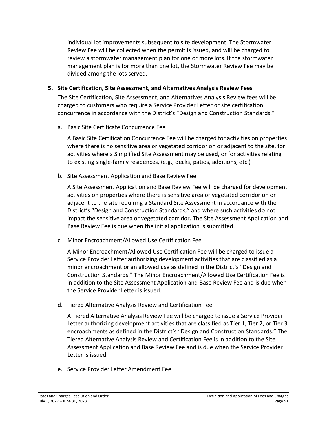individual lot improvements subsequent to site development. The Stormwater Review Fee will be collected when the permit is issued, and will be charged to review a stormwater management plan for one or more lots. If the stormwater management plan is for more than one lot, the Stormwater Review Fee may be divided among the lots served.

## <span id="page-54-0"></span>**5. Site Certification, Site Assessment, and Alternatives Analysis Review Fees**

The Site Certification, Site Assessment, and Alternatives Analysis Review fees will be charged to customers who require a Service Provider Letter or site certification concurrence in accordance with the District's "Design and Construction Standards."

a. Basic Site Certificate Concurrence Fee

A Basic Site Certification Concurrence Fee will be charged for activities on properties where there is no sensitive area or vegetated corridor on or adjacent to the site, for activities where a Simplified Site Assessment may be used, or for activities relating to existing single-family residences, (e.g., decks, patios, additions, etc.)

b. Site Assessment Application and Base Review Fee

A Site Assessment Application and Base Review Fee will be charged for development activities on properties where there is sensitive area or vegetated corridor on or adjacent to the site requiring a Standard Site Assessment in accordance with the District's "Design and Construction Standards," and where such activities do not impact the sensitive area or vegetated corridor. The Site Assessment Application and Base Review Fee is due when the initial application is submitted.

c. Minor Encroachment/Allowed Use Certification Fee

A Minor Encroachment/Allowed Use Certification Fee will be charged to issue a Service Provider Letter authorizing development activities that are classified as a minor encroachment or an allowed use as defined in the District's "Design and Construction Standards." The Minor Encroachment/Allowed Use Certification Fee is in addition to the Site Assessment Application and Base Review Fee and is due when the Service Provider Letter is issued.

d. Tiered Alternative Analysis Review and Certification Fee

A Tiered Alternative Analysis Review Fee will be charged to issue a Service Provider Letter authorizing development activities that are classified as Tier 1, Tier 2, or Tier 3 encroachments as defined in the District's "Design and Construction Standards." The Tiered Alternative Analysis Review and Certification Fee is in addition to the Site Assessment Application and Base Review Fee and is due when the Service Provider Letter is issued.

e. Service Provider Letter Amendment Fee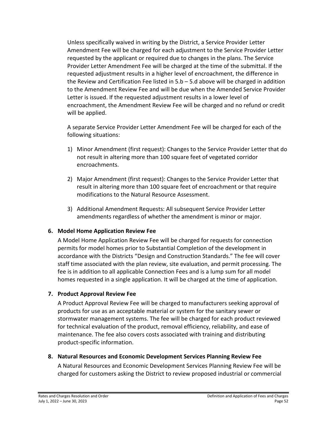Unless specifically waived in writing by the District, a Service Provider Letter Amendment Fee will be charged for each adjustment to the Service Provider Letter requested by the applicant or required due to changes in the plans. The Service Provider Letter Amendment Fee will be charged at the time of the submittal. If the requested adjustment results in a higher level of encroachment, the difference in the Review and Certification Fee listed in 5.b – 5.d above will be charged in addition to the Amendment Review Fee and will be due when the Amended Service Provider Letter is issued. If the requested adjustment results in a lower level of encroachment, the Amendment Review Fee will be charged and no refund or credit will be applied.

A separate Service Provider Letter Amendment Fee will be charged for each of the following situations:

- 1) Minor Amendment (first request): Changes to the Service Provider Letter that do not result in altering more than 100 square feet of vegetated corridor encroachments.
- 2) Major Amendment (first request): Changes to the Service Provider Letter that result in altering more than 100 square feet of encroachment or that require modifications to the Natural Resource Assessment.
- 3) Additional Amendment Requests: All subsequent Service Provider Letter amendments regardless of whether the amendment is minor or major.

# <span id="page-55-0"></span>**6. Model Home Application Review Fee**

A Model Home Application Review Fee will be charged for requests for connection permits for model homes prior to Substantial Completion of the development in accordance with the Districts "Design and Construction Standards." The fee will cover staff time associated with the plan review, site evaluation, and permit processing. The fee is in addition to all applicable Connection Fees and is a lump sum for all model homes requested in a single application. It will be charged at the time of application.

# <span id="page-55-1"></span>**7. Product Approval Review Fee**

A Product Approval Review Fee will be charged to manufacturers seeking approval of products for use as an acceptable material or system for the sanitary sewer or stormwater management systems. The fee will be charged for each product reviewed for technical evaluation of the product, removal efficiency, reliability, and ease of maintenance. The fee also covers costs associated with training and distributing product-specific information.

#### <span id="page-55-2"></span>**8. Natural Resources and Economic Development Services Planning Review Fee**

A Natural Resources and Economic Development Services Planning Review Fee will be charged for customers asking the District to review proposed industrial or commercial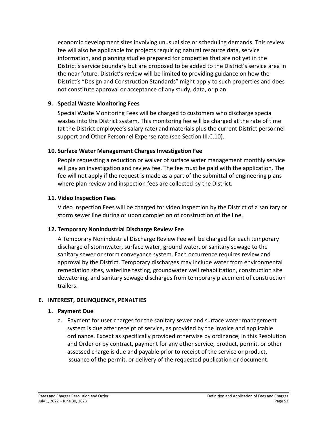economic development sites involving unusual size or scheduling demands. This review fee will also be applicable for projects requiring natural resource data, service information, and planning studies prepared for properties that are not yet in the District's service boundary but are proposed to be added to the District's service area in the near future. District's review will be limited to providing guidance on how the District's "Design and Construction Standards" might apply to such properties and does not constitute approval or acceptance of any study, data, or plan.

#### <span id="page-56-0"></span>**9. Special Waste Monitoring Fees**

Special Waste Monitoring Fees will be charged to customers who discharge special wastes into the District system. This monitoring fee will be charged at the rate of time (at the District employee's salary rate) and materials plus the current District personnel support and Other Personnel Expense rate (see Section III.C.10).

## <span id="page-56-1"></span>**10. Surface Water Management Charges Investigation Fee**

People requesting a reduction or waiver of surface water management monthly service will pay an investigation and review fee. The fee must be paid with the application. The fee will not apply if the request is made as a part of the submittal of engineering plans where plan review and inspection fees are collected by the District.

# <span id="page-56-2"></span>**11. Video Inspection Fees**

Video Inspection Fees will be charged for video inspection by the District of a sanitary or storm sewer line during or upon completion of construction of the line.

# <span id="page-56-3"></span>**12. Temporary Nonindustrial Discharge Review Fee**

A Temporary Nonindustrial Discharge Review Fee will be charged for each temporary discharge of stormwater, surface water, ground water, or sanitary sewage to the sanitary sewer or storm conveyance system. Each occurrence requires review and approval by the District. Temporary discharges may include water from environmental remediation sites, waterline testing, groundwater well rehabilitation, construction site dewatering, and sanitary sewage discharges from temporary placement of construction trailers.

# <span id="page-56-5"></span><span id="page-56-4"></span>**E. INTEREST, DELINQUENCY, PENALTIES**

#### **1. Payment Due**

a. Payment for user charges for the sanitary sewer and surface water management system is due after receipt of service, as provided by the invoice and applicable ordinance. Except as specifically provided otherwise by ordinance, in this Resolution and Order or by contract, payment for any other service, product, permit, or other assessed charge is due and payable prior to receipt of the service or product, issuance of the permit, or delivery of the requested publication or document.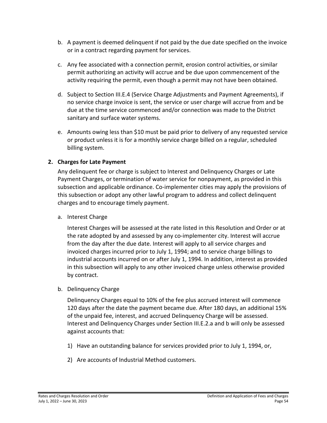- b. A payment is deemed delinquent if not paid by the due date specified on the invoice or in a contract regarding payment for services.
- c. Any fee associated with a connection permit, erosion control activities, or similar permit authorizing an activity will accrue and be due upon commencement of the activity requiring the permit, even though a permit may not have been obtained.
- d. Subject to Section III.E.4 (Service Charge Adjustments and Payment Agreements), if no service charge invoice is sent, the service or user charge will accrue from and be due at the time service commenced and/or connection was made to the District sanitary and surface water systems.
- e. Amounts owing less than \$10 must be paid prior to delivery of any requested service or product unless it is for a monthly service charge billed on a regular, scheduled billing system.

# <span id="page-57-0"></span>**2. Charges for Late Payment**

Any delinquent fee or charge is subject to Interest and Delinquency Charges or Late Payment Charges, or termination of water service for nonpayment, as provided in this subsection and applicable ordinance. Co-implementer cities may apply the provisions of this subsection or adopt any other lawful program to address and collect delinquent charges and to encourage timely payment.

a. Interest Charge

Interest Charges will be assessed at the rate listed in this Resolution and Order or at the rate adopted by and assessed by any co-implementer city. Interest will accrue from the day after the due date. Interest will apply to all service charges and invoiced charges incurred prior to July 1, 1994; and to service charge billings to industrial accounts incurred on or after July 1, 1994. In addition, interest as provided in this subsection will apply to any other invoiced charge unless otherwise provided by contract.

b. Delinquency Charge

Delinquency Charges equal to 10% of the fee plus accrued interest will commence 120 days after the date the payment became due. After 180 days, an additional 15% of the unpaid fee, interest, and accrued Delinquency Charge will be assessed. Interest and Delinquency Charges under Section III.E.2.a and b will only be assessed against accounts that:

- 1) Have an outstanding balance for services provided prior to July 1, 1994, or,
- 2) Are accounts of Industrial Method customers.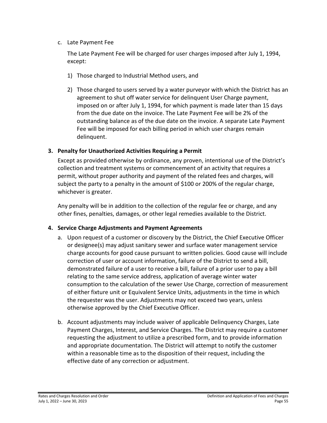#### c. Late Payment Fee

The Late Payment Fee will be charged for user charges imposed after July 1, 1994, except:

- 1) Those charged to Industrial Method users, and
- 2) Those charged to users served by a water purveyor with which the District has an agreement to shut off water service for delinquent User Charge payment, imposed on or after July 1, 1994, for which payment is made later than 15 days from the due date on the invoice. The Late Payment Fee will be 2% of the outstanding balance as of the due date on the invoice. A separate Late Payment Fee will be imposed for each billing period in which user charges remain delinquent.

# <span id="page-58-0"></span>**3. Penalty for Unauthorized Activities Requiring a Permit**

Except as provided otherwise by ordinance, any proven, intentional use of the District's collection and treatment systems or commencement of an activity that requires a permit, without proper authority and payment of the related fees and charges, will subject the party to a penalty in the amount of \$100 or 200% of the regular charge, whichever is greater.

Any penalty will be in addition to the collection of the regular fee or charge, and any other fines, penalties, damages, or other legal remedies available to the District.

# <span id="page-58-1"></span>**4. Service Charge Adjustments and Payment Agreements**

- a. Upon request of a customer or discovery by the District, the Chief Executive Officer or designee(s) may adjust sanitary sewer and surface water management service charge accounts for good cause pursuant to written policies. Good cause will include correction of user or account information, failure of the District to send a bill, demonstrated failure of a user to receive a bill, failure of a prior user to pay a bill relating to the same service address, application of average winter water consumption to the calculation of the sewer Use Charge, correction of measurement of either fixture unit or Equivalent Service Units, adjustments in the time in which the requester was the user. Adjustments may not exceed two years, unless otherwise approved by the Chief Executive Officer.
- b. Account adjustments may include waiver of applicable Delinquency Charges, Late Payment Charges, Interest, and Service Charges. The District may require a customer requesting the adjustment to utilize a prescribed form, and to provide information and appropriate documentation. The District will attempt to notify the customer within a reasonable time as to the disposition of their request, including the effective date of any correction or adjustment.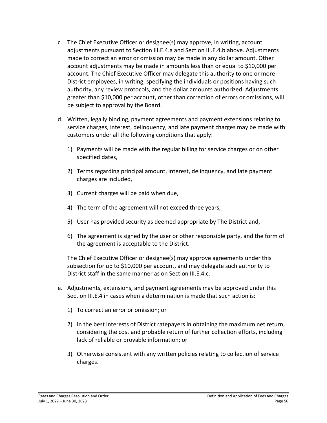- c. The Chief Executive Officer or designee(s) may approve, in writing, account adjustments pursuant to Section III.E.4.a and Section III.E.4.b above. Adjustments made to correct an error or omission may be made in any dollar amount. Other account adjustments may be made in amounts less than or equal to \$10,000 per account. The Chief Executive Officer may delegate this authority to one or more District employees, in writing, specifying the individuals or positions having such authority, any review protocols, and the dollar amounts authorized. Adjustments greater than \$10,000 per account, other than correction of errors or omissions, will be subject to approval by the Board.
- d. Written, legally binding, payment agreements and payment extensions relating to service charges, interest, delinquency, and late payment charges may be made with customers under all the following conditions that apply:
	- 1) Payments will be made with the regular billing for service charges or on other specified dates,
	- 2) Terms regarding principal amount, interest, delinquency, and late payment charges are included,
	- 3) Current charges will be paid when due,
	- 4) The term of the agreement will not exceed three years,
	- 5) User has provided security as deemed appropriate by The District and,
	- 6) The agreement is signed by the user or other responsible party, and the form of the agreement is acceptable to the District.

The Chief Executive Officer or designee(s) may approve agreements under this subsection for up to \$10,000 per account, and may delegate such authority to District staff in the same manner as on Section III.E.4.c.

- e. Adjustments, extensions, and payment agreements may be approved under this Section III.E.4 in cases when a determination is made that such action is:
	- 1) To correct an error or omission; or
	- 2) In the best interests of District ratepayers in obtaining the maximum net return, considering the cost and probable return of further collection efforts, including lack of reliable or provable information; or
	- 3) Otherwise consistent with any written policies relating to collection of service charges.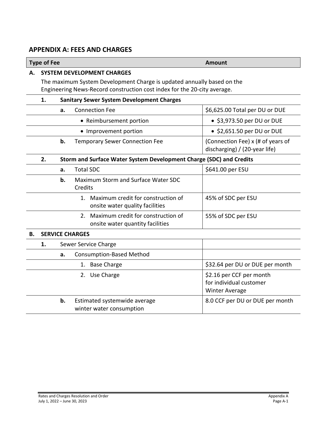# <span id="page-60-0"></span>**APPENDIX A: FEES AND CHARGES**

#### **Type of Fee Amount**

#### **A. SYSTEM DEVELOPMENT CHARGES**

The maximum System Development Charge is updated annually based on the Engineering News-Record construction cost index for the 20-city average.

#### **1. Sanitary Sewer System Development Charges**

| <b>Connection Fee</b>                       | \$6,625.00 Total per DU or DUE                                     |
|---------------------------------------------|--------------------------------------------------------------------|
| • Reimbursement portion                     | $\bullet$ \$3,973.50 per DU or DUE                                 |
| • Improvement portion                       | $\bullet$ \$2,651.50 per DU or DUE                                 |
| <b>Temporary Sewer Connection Fee</b><br>b. | (Connection Fee) x (# of years of<br>discharging) / (20-year life) |

#### **2. Storm and Surface Water System Development Charge (SDC) and Credits**

| a. | <b>Total SDC</b>                                                          | \$641.00 per ESU   |
|----|---------------------------------------------------------------------------|--------------------|
| b. | Maximum Storm and Surface Water SDC<br>Credits                            |                    |
|    | 1. Maximum credit for construction of<br>onsite water quality facilities  | 45% of SDC per ESU |
|    | 2. Maximum credit for construction of<br>onsite water quantity facilities | 55% of SDC per ESU |

#### **B. SERVICE CHARGES**

| 1. |    | Sewer Service Charge                                     |                                                                              |
|----|----|----------------------------------------------------------|------------------------------------------------------------------------------|
|    | а. | <b>Consumption-Based Method</b>                          |                                                                              |
|    |    | <b>Base Charge</b><br>1.                                 | \$32.64 per DU or DUE per month                                              |
|    |    | 2. Use Charge                                            | \$2.16 per CCF per month<br>for individual customer<br><b>Winter Average</b> |
|    | b. | Estimated systemwide average<br>winter water consumption | 8.0 CCF per DU or DUE per month                                              |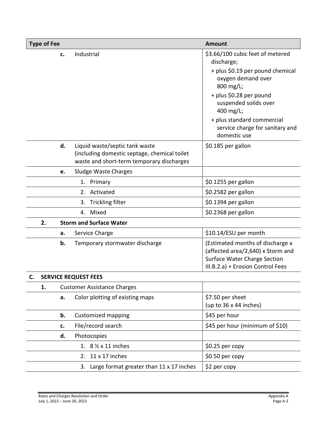| <b>Type of Fee</b> |    |                                                                                                                             | <b>Amount</b>                                                                                                                                                                                                        |
|--------------------|----|-----------------------------------------------------------------------------------------------------------------------------|----------------------------------------------------------------------------------------------------------------------------------------------------------------------------------------------------------------------|
|                    | c. | Industrial                                                                                                                  | \$3.66/100 cubic feet of metered<br>discharge;<br>+ plus \$0.19 per pound chemical<br>oxygen demand over<br>800 mg/L;<br>+ plus \$0.28 per pound<br>suspended solids over<br>400 mg/L;<br>+ plus standard commercial |
|                    |    |                                                                                                                             | service charge for sanitary and<br>domestic use                                                                                                                                                                      |
|                    | d. | Liquid waste/septic tank waste<br>(including domestic septage, chemical toilet<br>waste and short-term temporary discharges | \$0.185 per gallon                                                                                                                                                                                                   |
|                    | e. | Sludge Waste Charges                                                                                                        |                                                                                                                                                                                                                      |
|                    |    | 1. Primary                                                                                                                  | \$0.1255 per gallon                                                                                                                                                                                                  |
|                    |    | 2. Activated                                                                                                                | \$0.2582 per gallon                                                                                                                                                                                                  |
|                    |    | <b>Trickling filter</b><br>3.                                                                                               | \$0.1394 per gallon                                                                                                                                                                                                  |
|                    |    | 4. Mixed                                                                                                                    | \$0.2368 per gallon                                                                                                                                                                                                  |
| 2.                 |    | <b>Storm and Surface Water</b>                                                                                              |                                                                                                                                                                                                                      |
|                    | a. | Service Charge                                                                                                              | \$10.14/ESU per month                                                                                                                                                                                                |
|                    | b. | Temporary stormwater discharge                                                                                              | (Estimated months of discharge x<br>(affected area/2,640) x Storm and<br>Surface Water Charge Section<br>III.B.2.a) + Erosion Control Fees                                                                           |
|                    |    | <b>SERVICE REQUEST FEES</b>                                                                                                 |                                                                                                                                                                                                                      |
| 1.                 |    | <b>Customer Assistance Charges</b>                                                                                          |                                                                                                                                                                                                                      |
|                    | a. | Color plotting of existing maps                                                                                             | \$7.50 per sheet<br>(up to $36 \times 44$ inches)                                                                                                                                                                    |
|                    | b. | <b>Customized mapping</b>                                                                                                   | \$45 per hour                                                                                                                                                                                                        |
|                    | c. | File/record search                                                                                                          | \$45 per hour (minimum of \$10)                                                                                                                                                                                      |
|                    | d. | Photocopies                                                                                                                 |                                                                                                                                                                                                                      |
|                    |    | 1. $8\frac{1}{2} \times 11$ inches                                                                                          | \$0.25 per copy                                                                                                                                                                                                      |
|                    |    | 2. 11 x 17 inches                                                                                                           | $$0.50$ per copy                                                                                                                                                                                                     |
|                    |    | 3. Large format greater than 11 x 17 inches                                                                                 | \$2 per copy                                                                                                                                                                                                         |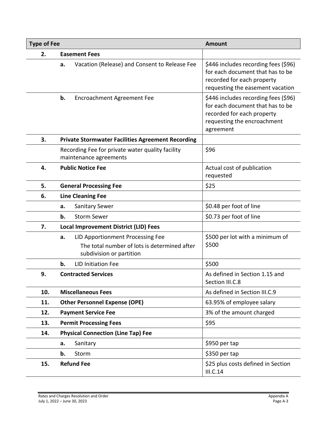| <b>Type of Fee</b> |                                                                                                                    | <b>Amount</b>                                                                                                                                      |  |
|--------------------|--------------------------------------------------------------------------------------------------------------------|----------------------------------------------------------------------------------------------------------------------------------------------------|--|
| 2.                 | <b>Easement Fees</b>                                                                                               |                                                                                                                                                    |  |
|                    | Vacation (Release) and Consent to Release Fee<br>а.                                                                | \$446 includes recording fees (\$96)<br>for each document that has to be<br>recorded for each property<br>requesting the easement vacation         |  |
|                    | b.<br>Encroachment Agreement Fee                                                                                   | \$446 includes recording fees (\$96)<br>for each document that has to be<br>recorded for each property<br>requesting the encroachment<br>agreement |  |
| 3.                 | <b>Private Stormwater Facilities Agreement Recording</b>                                                           |                                                                                                                                                    |  |
|                    | Recording Fee for private water quality facility<br>maintenance agreements                                         | \$96                                                                                                                                               |  |
| 4.                 | <b>Public Notice Fee</b>                                                                                           | Actual cost of publication<br>requested                                                                                                            |  |
| 5.                 | <b>General Processing Fee</b>                                                                                      | \$25                                                                                                                                               |  |
| 6.                 | <b>Line Cleaning Fee</b>                                                                                           |                                                                                                                                                    |  |
|                    | <b>Sanitary Sewer</b><br>a.                                                                                        | \$0.48 per foot of line                                                                                                                            |  |
|                    | <b>Storm Sewer</b><br>b.                                                                                           | \$0.73 per foot of line                                                                                                                            |  |
| 7.                 | <b>Local Improvement District (LID) Fees</b>                                                                       |                                                                                                                                                    |  |
|                    | LID Apportionment Processing Fee<br>a.<br>The total number of lots is determined after<br>subdivision or partition | \$500 per lot with a minimum of<br>\$500                                                                                                           |  |
|                    | <b>LID Initiation Fee</b><br>b.                                                                                    | \$500                                                                                                                                              |  |
| 9.                 | <b>Contracted Services</b>                                                                                         | As defined in Section 1.15 and<br>Section III.C.8                                                                                                  |  |
| 10.                | <b>Miscellaneous Fees</b>                                                                                          | As defined in Section III.C.9                                                                                                                      |  |
| 11.                | <b>Other Personnel Expense (OPE)</b>                                                                               | 63.95% of employee salary                                                                                                                          |  |
| 12.                | <b>Payment Service Fee</b>                                                                                         | 3% of the amount charged                                                                                                                           |  |
| 13.                | <b>Permit Processing Fees</b>                                                                                      | \$95                                                                                                                                               |  |
| 14.                | <b>Physical Connection (Line Tap) Fee</b>                                                                          |                                                                                                                                                    |  |
|                    | Sanitary<br>а.                                                                                                     | \$950 per tap                                                                                                                                      |  |
|                    | b.<br>Storm                                                                                                        | \$350 per tap                                                                                                                                      |  |
| 15.                | <b>Refund Fee</b>                                                                                                  | \$25 plus costs defined in Section<br>III.C.14                                                                                                     |  |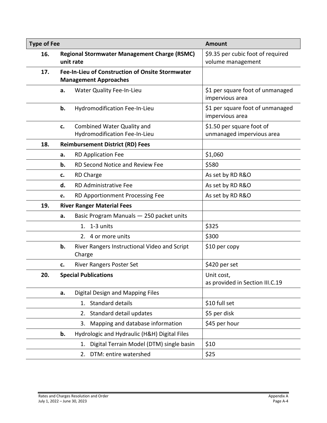| <b>Type of Fee</b> |                                                                                  |                                                                    | <b>Amount</b>                                          |  |
|--------------------|----------------------------------------------------------------------------------|--------------------------------------------------------------------|--------------------------------------------------------|--|
| 16.                |                                                                                  | <b>Regional Stormwater Management Charge (RSMC)</b><br>unit rate   | \$9.35 per cubic foot of required<br>volume management |  |
| 17.                | Fee-In-Lieu of Construction of Onsite Stormwater<br><b>Management Approaches</b> |                                                                    |                                                        |  |
|                    | a.                                                                               | Water Quality Fee-In-Lieu                                          | \$1 per square foot of unmanaged<br>impervious area    |  |
|                    | b.                                                                               | Hydromodification Fee-In-Lieu                                      | \$1 per square foot of unmanaged<br>impervious area    |  |
|                    | c.                                                                               | <b>Combined Water Quality and</b><br>Hydromodification Fee-In-Lieu | \$1.50 per square foot of<br>unmanaged impervious area |  |
| 18.                |                                                                                  | <b>Reimbursement District (RD) Fees</b>                            |                                                        |  |
|                    | а.                                                                               | <b>RD Application Fee</b>                                          | \$1,060                                                |  |
|                    | b.                                                                               | RD Second Notice and Review Fee                                    | \$580                                                  |  |
|                    | c.                                                                               | <b>RD Charge</b>                                                   | As set by RD R&O                                       |  |
|                    | d.                                                                               | <b>RD Administrative Fee</b>                                       | As set by RD R&O                                       |  |
|                    | e.                                                                               | RD Apportionment Processing Fee                                    | As set by RD R&O                                       |  |
| 19.                | <b>River Ranger Material Fees</b>                                                |                                                                    |                                                        |  |
|                    | a.                                                                               | Basic Program Manuals - 250 packet units                           |                                                        |  |
|                    |                                                                                  | 1. 1-3 units                                                       | \$325                                                  |  |
|                    |                                                                                  | 2. 4 or more units                                                 | \$300                                                  |  |
|                    | b.                                                                               | River Rangers Instructional Video and Script<br>Charge             | \$10 per copy                                          |  |
|                    | c.                                                                               | <b>River Rangers Poster Set</b>                                    | \$420 per set                                          |  |
| 20.                |                                                                                  | <b>Special Publications</b>                                        | Unit cost,<br>as provided in Section III.C.19          |  |
|                    | a.                                                                               | Digital Design and Mapping Files                                   |                                                        |  |
|                    |                                                                                  | Standard details<br>1.                                             | \$10 full set                                          |  |
|                    |                                                                                  | Standard detail updates<br>2.                                      | \$5 per disk                                           |  |
|                    |                                                                                  | Mapping and database information<br>3.                             | \$45 per hour                                          |  |
|                    | b.                                                                               | Hydrologic and Hydraulic (H&H) Digital Files                       |                                                        |  |
|                    |                                                                                  | Digital Terrain Model (DTM) single basin<br>1.                     | \$10                                                   |  |
|                    |                                                                                  | DTM: entire watershed<br>2.                                        | \$25                                                   |  |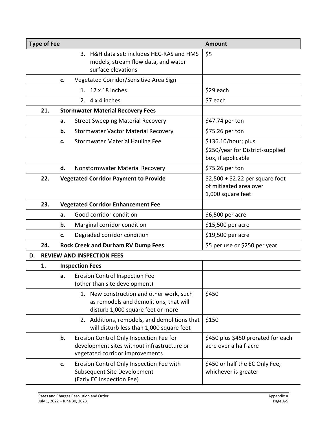| <b>Type of Fee</b><br><b>Amount</b>                 |                                                  |                               |                                                                                                                           |                                                                               |
|-----------------------------------------------------|--------------------------------------------------|-------------------------------|---------------------------------------------------------------------------------------------------------------------------|-------------------------------------------------------------------------------|
|                                                     |                                                  |                               | 3. H&H data set: includes HEC-RAS and HMS<br>models, stream flow data, and water<br>surface elevations                    | \$5                                                                           |
|                                                     | Vegetated Corridor/Sensitive Area Sign<br>c.     |                               |                                                                                                                           |                                                                               |
|                                                     |                                                  |                               | $12 \times 18$ inches<br>$1_{-}$                                                                                          | \$29 each                                                                     |
|                                                     |                                                  |                               | 2. $4 \times 4$ inches                                                                                                    | \$7 each                                                                      |
|                                                     | 21.<br><b>Stormwater Material Recovery Fees</b>  |                               |                                                                                                                           |                                                                               |
|                                                     |                                                  | a.                            | <b>Street Sweeping Material Recovery</b>                                                                                  | \$47.74 per ton                                                               |
|                                                     |                                                  | b.                            | <b>Stormwater Vactor Material Recovery</b>                                                                                | \$75.26 per ton                                                               |
|                                                     |                                                  | c.                            | <b>Stormwater Material Hauling Fee</b>                                                                                    | \$136.10/hour; plus<br>\$250/year for District-supplied<br>box, if applicable |
|                                                     | d.<br>Nonstormwater Material Recovery            |                               |                                                                                                                           | \$75.26 per ton                                                               |
| 22.<br><b>Vegetated Corridor Payment to Provide</b> |                                                  |                               | $$2,500 + $2.22$ per square foot<br>of mitigated area over<br>1,000 square feet                                           |                                                                               |
|                                                     | 23.<br><b>Vegetated Corridor Enhancement Fee</b> |                               |                                                                                                                           |                                                                               |
|                                                     |                                                  | a.                            | Good corridor condition                                                                                                   | \$6,500 per acre                                                              |
|                                                     |                                                  | b.                            | Marginal corridor condition                                                                                               | \$15,500 per acre                                                             |
|                                                     |                                                  | c.                            | Degraded corridor condition                                                                                               | \$19,500 per acre                                                             |
| <b>Rock Creek and Durham RV Dump Fees</b><br>24.    |                                                  | \$5 per use or \$250 per year |                                                                                                                           |                                                                               |
| <b>REVIEW AND INSPECTION FEES</b><br>D.             |                                                  |                               |                                                                                                                           |                                                                               |
|                                                     | 1.                                               |                               | <b>Inspection Fees</b>                                                                                                    |                                                                               |
|                                                     |                                                  | а.                            | <b>Erosion Control Inspection Fee</b><br>(other than site development)                                                    |                                                                               |
|                                                     |                                                  |                               | 1. New construction and other work, such<br>as remodels and demolitions, that will<br>disturb 1,000 square feet or more   | \$450                                                                         |
|                                                     |                                                  |                               | 2. Additions, remodels, and demolitions that<br>will disturb less than 1,000 square feet                                  | \$150                                                                         |
|                                                     |                                                  | b.                            | Erosion Control Only Inspection Fee for<br>development sites without infrastructure or<br>vegetated corridor improvements | \$450 plus \$450 prorated for each<br>acre over a half-acre                   |
|                                                     |                                                  | c.                            | Erosion Control Only Inspection Fee with<br>Subsequent Site Development<br>(Early EC Inspection Fee)                      | \$450 or half the EC Only Fee,<br>whichever is greater                        |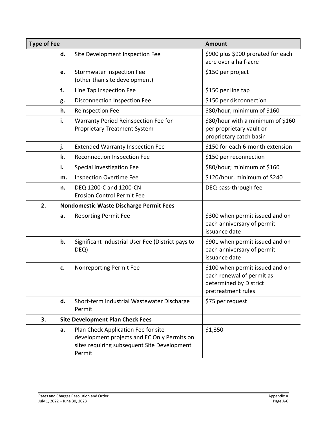| <b>Type of Fee</b> |                                                                                                                                             | <b>Amount</b>                                                                                                |
|--------------------|---------------------------------------------------------------------------------------------------------------------------------------------|--------------------------------------------------------------------------------------------------------------|
| d.                 | Site Development Inspection Fee                                                                                                             | \$900 plus \$900 prorated for each<br>acre over a half-acre                                                  |
| e.                 | <b>Stormwater Inspection Fee</b><br>(other than site development)                                                                           | \$150 per project                                                                                            |
| f.                 | Line Tap Inspection Fee                                                                                                                     | \$150 per line tap                                                                                           |
| g.                 | Disconnection Inspection Fee                                                                                                                | \$150 per disconnection                                                                                      |
| h.                 | <b>Reinspection Fee</b>                                                                                                                     | \$80/hour, minimum of \$160                                                                                  |
| i.                 | Warranty Period Reinspection Fee for<br><b>Proprietary Treatment System</b>                                                                 | \$80/hour with a minimum of \$160<br>per proprietary vault or<br>proprietary catch basin                     |
| j.                 | <b>Extended Warranty Inspection Fee</b>                                                                                                     | \$150 for each 6-month extension                                                                             |
| k.                 | Reconnection Inspection Fee                                                                                                                 | \$150 per reconnection                                                                                       |
| I.                 | Special Investigation Fee                                                                                                                   | \$80/hour; minimum of \$160                                                                                  |
| m.                 | <b>Inspection Overtime Fee</b>                                                                                                              | \$120/hour, minimum of \$240                                                                                 |
| n.                 | DEQ 1200-C and 1200-CN<br><b>Erosion Control Permit Fee</b>                                                                                 | DEQ pass-through fee                                                                                         |
| 2.                 | <b>Nondomestic Waste Discharge Permit Fees</b>                                                                                              |                                                                                                              |
| a.                 | <b>Reporting Permit Fee</b>                                                                                                                 | \$300 when permit issued and on<br>each anniversary of permit<br>issuance date                               |
| b.                 | Significant Industrial User Fee (District pays to<br>DEQ)                                                                                   | \$901 when permit issued and on<br>each anniversary of permit<br>issuance date                               |
| c.                 | Nonreporting Permit Fee                                                                                                                     | \$100 when permit issued and on<br>each renewal of permit as<br>determined by District<br>pretreatment rules |
| d.                 | Short-term Industrial Wastewater Discharge<br>Permit                                                                                        | \$75 per request                                                                                             |
| 3.                 | <b>Site Development Plan Check Fees</b>                                                                                                     |                                                                                                              |
| a.                 | Plan Check Application Fee for site<br>development projects and EC Only Permits on<br>sites requiring subsequent Site Development<br>Permit | \$1,350                                                                                                      |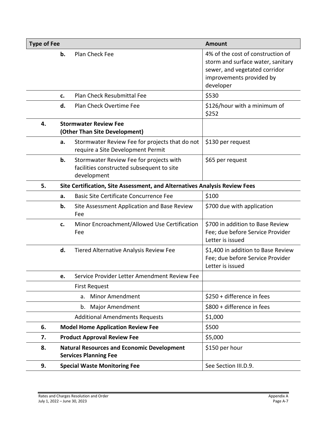| <b>Type of Fee</b> |                                                               |                                                                                                     | <b>Amount</b>                                                                                                                                    |  |
|--------------------|---------------------------------------------------------------|-----------------------------------------------------------------------------------------------------|--------------------------------------------------------------------------------------------------------------------------------------------------|--|
|                    | b.                                                            | Plan Check Fee                                                                                      | 4% of the cost of construction of<br>storm and surface water, sanitary<br>sewer, and vegetated corridor<br>improvements provided by<br>developer |  |
|                    | c.                                                            | Plan Check Resubmittal Fee                                                                          | \$530                                                                                                                                            |  |
|                    | d.                                                            | Plan Check Overtime Fee                                                                             | \$126/hour with a minimum of<br>\$252                                                                                                            |  |
| 4.                 | <b>Stormwater Review Fee</b><br>(Other Than Site Development) |                                                                                                     |                                                                                                                                                  |  |
|                    | a.                                                            | Stormwater Review Fee for projects that do not<br>require a Site Development Permit                 | \$130 per request                                                                                                                                |  |
|                    | b.                                                            | Stormwater Review Fee for projects with<br>facilities constructed subsequent to site<br>development | \$65 per request                                                                                                                                 |  |
| 5.                 |                                                               | Site Certification, Site Assessment, and Alternatives Analysis Review Fees                          |                                                                                                                                                  |  |
|                    | a.                                                            | <b>Basic Site Certificate Concurrence Fee</b>                                                       | \$100                                                                                                                                            |  |
|                    | b.                                                            | Site Assessment Application and Base Review<br>Fee                                                  | \$700 due with application                                                                                                                       |  |
|                    | c.                                                            | Minor Encroachment/Allowed Use Certification<br>Fee                                                 | \$700 in addition to Base Review<br>Fee; due before Service Provider<br>Letter is issued                                                         |  |
|                    | d.                                                            | Tiered Alternative Analysis Review Fee                                                              | \$1,400 in addition to Base Review<br>Fee; due before Service Provider<br>Letter is issued                                                       |  |
|                    | e.                                                            | Service Provider Letter Amendment Review Fee                                                        |                                                                                                                                                  |  |
|                    |                                                               | <b>First Request</b>                                                                                |                                                                                                                                                  |  |
|                    |                                                               | <b>Minor Amendment</b><br>a.                                                                        | \$250 + difference in fees                                                                                                                       |  |
|                    |                                                               | b.<br>Major Amendment                                                                               | \$800 + difference in fees                                                                                                                       |  |
|                    |                                                               | <b>Additional Amendments Requests</b>                                                               | \$1,000                                                                                                                                          |  |
| 6.                 |                                                               | <b>Model Home Application Review Fee</b>                                                            | \$500                                                                                                                                            |  |
| 7.                 | <b>Product Approval Review Fee</b>                            |                                                                                                     | \$5,000                                                                                                                                          |  |
| 8.                 |                                                               | <b>Natural Resources and Economic Development</b><br><b>Services Planning Fee</b>                   | \$150 per hour                                                                                                                                   |  |
| 9.                 |                                                               | <b>Special Waste Monitoring Fee</b>                                                                 | See Section III.D.9.                                                                                                                             |  |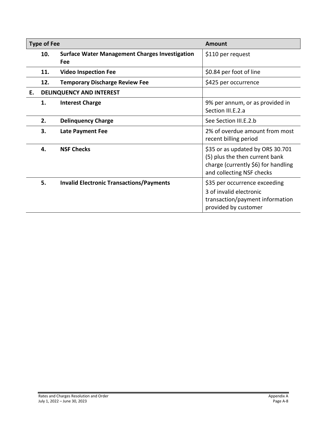|    | <b>Type of Fee</b> |                                                              | Amount                                                                                                                                 |
|----|--------------------|--------------------------------------------------------------|----------------------------------------------------------------------------------------------------------------------------------------|
|    | 10.                | <b>Surface Water Management Charges Investigation</b><br>Fee | \$110 per request                                                                                                                      |
|    | 11.                | <b>Video Inspection Fee</b>                                  | \$0.84 per foot of line                                                                                                                |
|    | 12.                | <b>Temporary Discharge Review Fee</b>                        | \$425 per occurrence                                                                                                                   |
| Е. |                    | DELINQUENCY AND INTEREST                                     |                                                                                                                                        |
|    | 1.                 | <b>Interest Charge</b>                                       | 9% per annum, or as provided in<br>Section III.E.2.a                                                                                   |
|    | 2.                 | <b>Delinguency Charge</b>                                    | See Section III.E.2.b                                                                                                                  |
|    | 3.                 | <b>Late Payment Fee</b>                                      | 2% of overdue amount from most<br>recent billing period                                                                                |
|    | 4.                 | <b>NSF Checks</b>                                            | \$35 or as updated by ORS 30.701<br>(5) plus the then current bank<br>charge (currently \$6) for handling<br>and collecting NSF checks |
|    | 5.                 | <b>Invalid Electronic Transactions/Payments</b>              | \$35 per occurrence exceeding<br>3 of invalid electronic<br>transaction/payment information<br>provided by customer                    |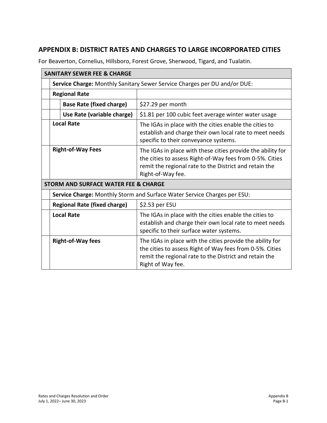# <span id="page-68-0"></span>**APPENDIX B: DISTRICT RATES AND CHARGES TO LARGE INCORPORATED CITIES**

For Beaverton, Cornelius, Hillsboro, Forest Grove, Sherwood, Tigard, and Tualatin.

| <b>SANITARY SEWER FEE &amp; CHARGE</b>                                    |                                                                                                                                                                                                        |  |  |
|---------------------------------------------------------------------------|--------------------------------------------------------------------------------------------------------------------------------------------------------------------------------------------------------|--|--|
| Service Charge: Monthly Sanitary Sewer Service Charges per DU and/or DUE: |                                                                                                                                                                                                        |  |  |
| <b>Regional Rate</b>                                                      |                                                                                                                                                                                                        |  |  |
| <b>Base Rate (fixed charge)</b>                                           | \$27.29 per month                                                                                                                                                                                      |  |  |
| Use Rate (variable charge)                                                | \$1.81 per 100 cubic feet average winter water usage                                                                                                                                                   |  |  |
| <b>Local Rate</b>                                                         | The IGAs in place with the cities enable the cities to<br>establish and charge their own local rate to meet needs<br>specific to their conveyance systems.                                             |  |  |
| <b>Right-of-Way Fees</b>                                                  | The IGAs in place with these cities provide the ability for<br>the cities to assess Right-of-Way fees from 0-5%. Cities<br>remit the regional rate to the District and retain the<br>Right-of-Way fee. |  |  |
| <b>STORM AND SURFACE WATER FEE &amp; CHARGE</b>                           |                                                                                                                                                                                                        |  |  |
| Service Charge: Monthly Storm and Surface Water Service Charges per ESU:  |                                                                                                                                                                                                        |  |  |
| <b>Regional Rate (fixed charge)</b>                                       | \$2.53 per ESU                                                                                                                                                                                         |  |  |
| <b>Local Rate</b>                                                         | The IGAs in place with the cities enable the cities to<br>establish and charge their own local rate to meet needs<br>specific to their surface water systems.                                          |  |  |
| <b>Right-of-Way fees</b>                                                  | The IGAs in place with the cities provide the ability for<br>the cities to assess Right of Way fees from 0-5%. Cities<br>remit the regional rate to the District and retain the<br>Right of Way fee.   |  |  |